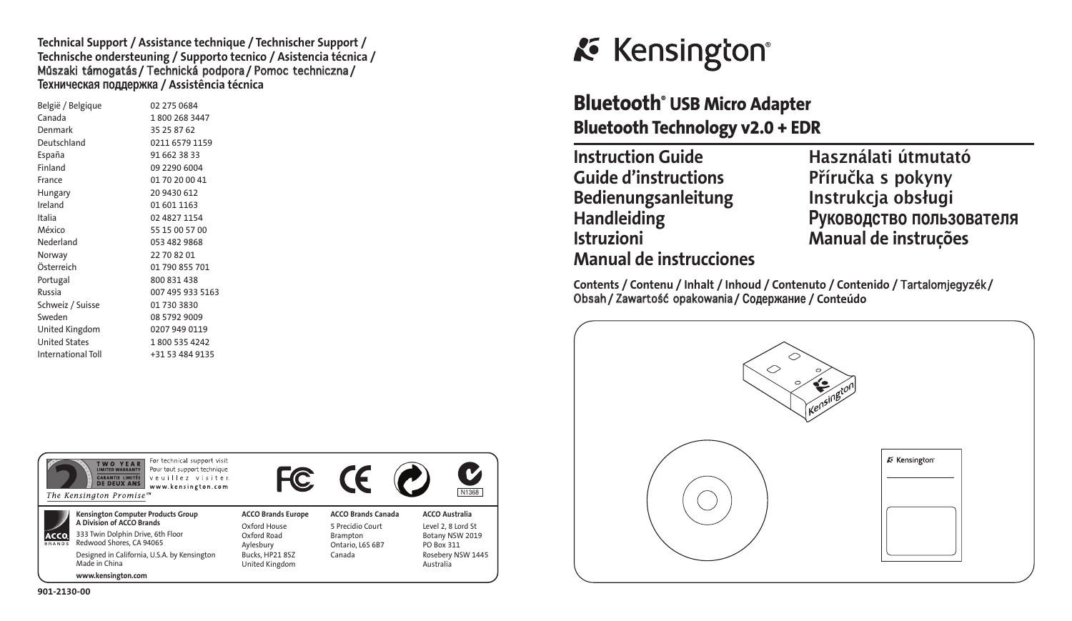**Technical Support / Assistance technique / Technischer Support / Technische ondersteuning / Supporto tecnico / Asistencia técnica /**  Műszaki támogatás **/** Technická podpora **/** Pomoc techniczna **/ -ехническая поддержка / Assistência técnica**

| België / Belgique    | 02 275 0684      |
|----------------------|------------------|
| Canada               | 1800 268 3447    |
| Denmark              | 35 25 87 62      |
| Deutschland          | 0211 6579 1159   |
| España               | 91 662 38 33     |
| Finland              | 09 2290 6004     |
| France               | 01 70 20 00 41   |
| Hungary              | 20 9430 612      |
| Ireland              | 01 601 1163      |
| Italia               | 02 4827 1154     |
| México               | 55 15 00 57 00   |
| Nederland            | 053 482 9868     |
| Norway               | 22 70 82 01      |
| Österreich           | 01 790 855 701   |
| Portugal             | 800 831 438      |
| Russia               | 007 495 933 5163 |
| Schweiz / Suisse     | 01 730 3830      |
| Sweden               | 08 5792 9009     |
| United Kingdom       | 0207 949 0119    |
| <b>United States</b> | 1800 535 4242    |
| International Toll   | +31 53 484 9135  |



# **Bluetooth® USB Micro Adapter Bluetooth Technology v2.0 + EDR**

| <b>Instruction Guide</b>       |
|--------------------------------|
| <b>Guide d'instructions</b>    |
| Bedienungsanleitung            |
| <b>Handleiding</b>             |
| <b>Istruzioni</b>              |
| <b>Manual de instrucciones</b> |
|                                |

**Instruction Guide Használati útmutató Guide d'instructions Příručka s pokyny Bedienungsanleitung Instrukcja obsługi Handleiding уководство пользователя Istruzioni Manual de instruções**

**Contents / Contenu / Inhalt / Inhoud / Contenuto / Contenido /** Tartalomjegyzék **/**  Obsah **/** Zawartość opakowania **/ одержание / Conteúdo**



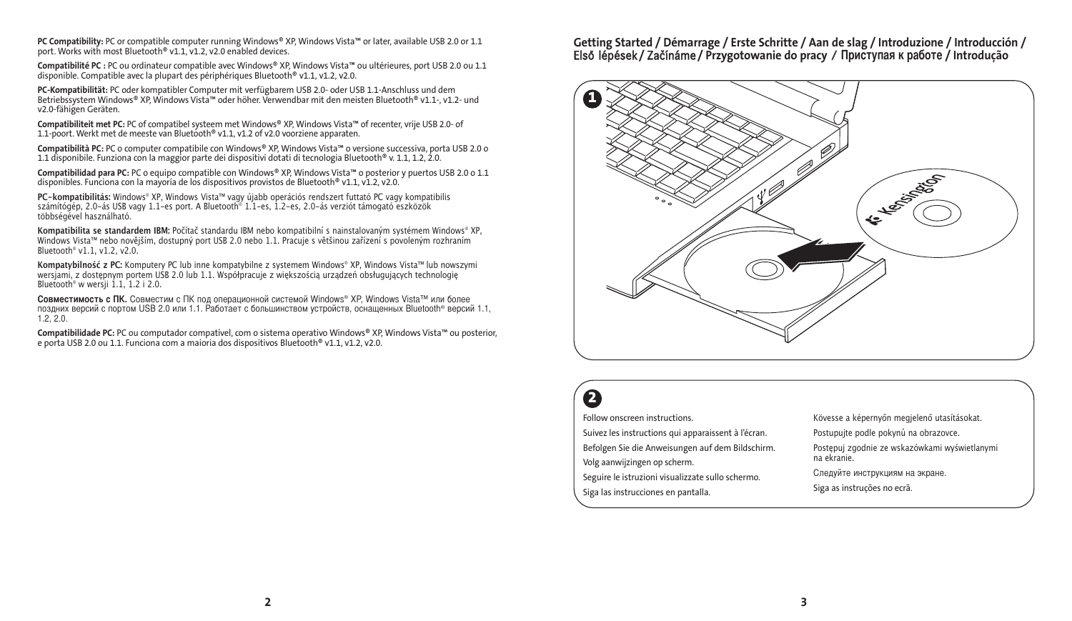**PC Compatibility:** PC or compatible computer running Windows® XP, Windows Vista™ or later, available USB 2.0 or 1.1 port. Works with most Bluetooth® v1.1, v1.2, v2.0 enabled devices.

**Compatibilité PC :** PC ou ordinateur compatible avec Windows® XP, Windows Vista™ ou ultérieures, port USB 2.0 ou 1.1 disponible. Compatible avec la plupart des périphériques Bluetooth® v1.1, v1.2, v2.0.

**PC-Kompatibilität:** PC oder kompatibler Computer mit verfügbarem USB 2.0- oder USB 1.1-Anschluss und dem Betriebssystem Windows® XP, Windows Vista™ oder höher. Verwendbar mit den meisten Bluetooth® v1.1-, v1.2- und v2.0-fähigen Geräten.

**Compatibiliteit met PC:** PC of compatibel systeem met Windows® XP, Windows Vista™ of recenter, vrije USB 2.0- of 1.1-poort. Werkt met de meeste van Bluetooth® v1.1, v1.2 of v2.0 voorziene apparaten.

**Compatibilità PC:** PC o computer compatibile con Windows® XP, Windows Vista™ o versione successiva, porta USB 2.0 o 1.1 disponibile. Funziona con la maggior parte dei dispositivi dotati di tecnologia Bluetooth® v. 1.1, 1.2, 2.0.

**Compatibilidad para PC:** PC o equipo compatible con Windows® XP, Windows Vista™ o posterior y puertos USB 2.0 o 1.1<br>disponibles. Funciona con la mayoría de los dispositivos provistos de Bluetooth® v1.1, v1.2, v2.0.

**PC-kompatibilitás:** Windows® XP, Windows Vista™ vagy újabb operációs rendszert futtató PC vagy kompatibilis számítógép, 2.0-ás USB vagy 1.1-es port. A Bluetooth® 1.1-es, 1.2-es, 2.0-ás verziót támogató eszközök többségével használható.

**Kompatibilita se standardem IBM:** Počítač standardu IBM nebo kompatibilní s nainstalovaným systémem Windows® XP, Windows Vista™ nebo novějším, dostupný port USB 2.0 nebo 1.1. Pracuje s většinou zařízení s povoleným rozhraním Bluetooth® v1.1, v1.2, v2.0.

**Kompatybilność z PC:** Komputery PC lub inne kompatybilne z systemem Windows® XP, Windows Vista™ lub nowszymi wersjami, z dostępnym portem USB 2.0 lub 1.1. Współpracuje z większością urządzeń obsługujących technologię Bluetooth<sup>®</sup> w wersii 1.1, 1.2 i 2.0.

Совместимость с ПК. Совместим с ПК под операционной системой Windows® XP, Windows Vista™ или более поздних версий с портом USB 2.0 или 1.1. Работает с большинством устройств, оснащенных Bluetooth® версий 1.1, 1.2, 2.0.

**Compatibilidade PC:** PC ou computador compatível, com o sistema operativo Windows® XP, Windows Vista™ ou posterior, e porta USB 2.0 ou 1.1. Funciona com a maioria dos dispositivos Bluetooth® v1.1, v1.2, v2.0.

**Getting Started / Démarrage / Erste Schritte / Aan de slag / Introduzione / Introducción /** Első lépések **/** Začínáme **/ Przygotowanie do pracy** / **риступая к работе / Introdução**



# **2**

Follow onscreen instructions. Suivez les instructions qui apparaissent à l'écran. Befolgen Sie die Anweisungen auf dem Bildschirm. Volg aanwijzingen op scherm. Seguire le istruzioni visualizzate sullo schermo. Siga las instrucciones en pantalla. Kövesse a képernyőn megjelenő utasításokat. Postupujte podle pokynů na obrazovce. Postępuj zgodnie ze wskazówkami wyświetlanymi na ekranie. -ледуйте инструкциям на экране. Siga as instruções no ecrã.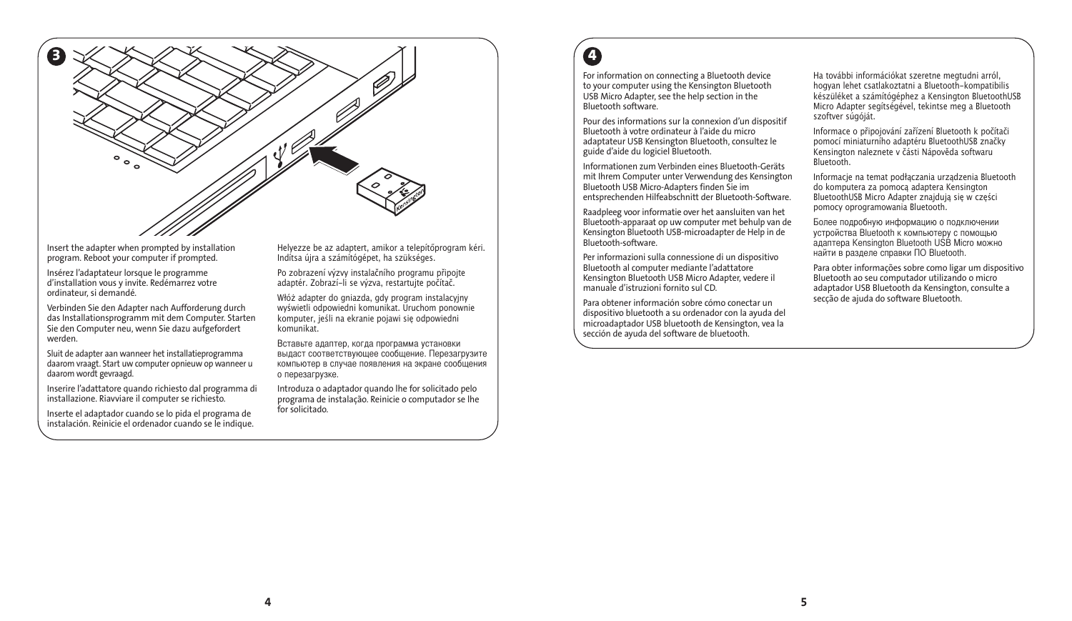

Insert the adapter when prompted by installation program. Reboot your computer if prompted.

Insérez l'adaptateur lorsque le programme d'installation vous y invite. Redémarrez votre ordinateur, si demandé.

Verbinden Sie den Adapter nach Aufforderung durch das Installationsprogramm mit dem Computer. Starten Sie den Computer neu, wenn Sie dazu aufgefordert werden.

Sluit de adapter aan wanneer het installatieprogramma daarom vraagt. Start uw computer opnieuw op wanneer u daarom wordt gevraagd.

Inserire l'adattatore quando richiesto dal programma di installazione. Riavviare il computer se richiesto.

Inserte el adaptador cuando se lo pida el programa de instalación. Reinicie el ordenador cuando se le indique. Helyezze be az adaptert, amikor a telepítőprogram kéri. Indítsa újra a számítógépet, ha szükséges.

Po zobrazení výzvy instalačního programu připojte adaptér. Zobrazí-li se výzva, restartujte počítač.

Włóż adapter do gniazda, gdy program instalacyjny wyświetli odpowiedni komunikat. Uruchom ponownie komputer, jeśli na ekranie pojawi się odpowiedni komunikat.

Вставьте адаптер, когда программа установки выдаст соответствующее сообщение. Перезагрузите компьютер в случае появления на экране сообщения о перезагрузке.

Introduza o adaptador quando lhe for solicitado pelo programa de instalação. Reinicie o computador se lhe for solicitado.

# **4**

For information on connecting a Bluetooth device to your computer using the Kensington Bluetooth USB Micro Adapter, see the help section in the Bluetooth software.

Pour des informations sur la connexion d'un dispositif Bluetooth à votre ordinateur à l'aide du micro adaptateur USB Kensington Bluetooth, consultez le guide d'aide du logiciel Bluetooth.

Informationen zum Verbinden eines Bluetooth-Geräts mit Ihrem Computer unter Verwendung des Kensington Bluetooth USB Micro-Adapters finden Sie im entsprechenden Hilfeabschnitt der Bluetooth-Software.

Raadpleeg voor informatie over het aansluiten van het Bluetooth-apparaat op uw computer met behulp van de Kensington Bluetooth USB-microadapter de Help in de Bluetooth-software.

Per informazioni sulla connessione di un dispositivo Bluetooth al computer mediante l'adattatore Kensington Bluetooth USB Micro Adapter, vedere il manuale d'istruzioni fornito sul CD.

Para obtener información sobre cómo conectar un dispositivo bluetooth a su ordenador con la ayuda del microadaptador USB bluetooth de Kensington, vea la sección de ayuda del software de bluetooth.

Ha további információkat szeretne megtudni arról, hogyan lehet csatlakoztatni a Bluetooth-kompatibilis készüléket a számítógéphez a Kensington BluetoothUSB Micro Adapter segítségével, tekintse meg a Bluetooth szoftver súgóját.

Informace o připojování zařízení Bluetooth k počítači pomocí miniaturního adaptéru BluetoothUSB značky Kensington naleznete v části Nápověda softwaru Bluetooth.

Informacje na temat podłączania urządzenia Bluetooth do komputera za pomocą adaptera Kensington BluetoothUSB Micro Adapter znajdują się w części pomocy oprogramowania Bluetooth.

Более подробную информацию о подключении устройства Bluetooth к компьютеру с помощью адаптера Kensington Bluetooth USB Micro можно найти в разделе справки О Bluetooth.

Para obter informações sobre como ligar um dispositivo Bluetooth ao seu computador utilizando o micro adaptador USB Bluetooth da Kensington, consulte a secção de ajuda do software Bluetooth.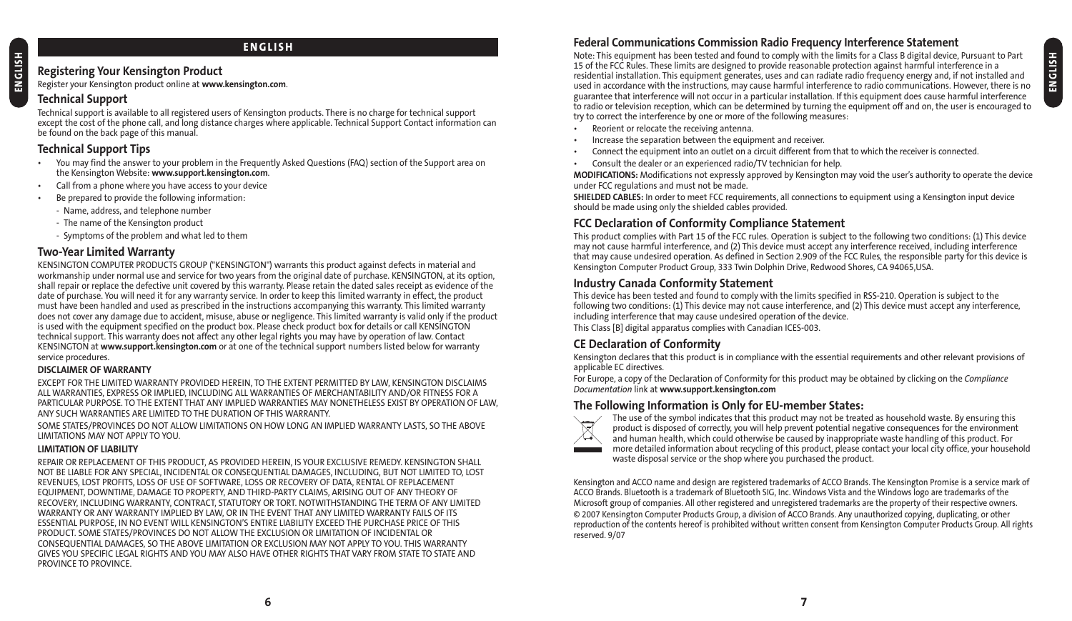#### **ENGLISH**

#### **Registering Your Kensington Product**

Register your Kensington product online at **www.kensington.com**.

### **Technical Support**

Technical support is available to all registered users of Kensington products. There is no charge for technical support except the cost of the phone call, and long distance charges where applicable. Technical Support Contact information can be found on the back page of this manual.

### **Technical Support Tips**

- You may find the answer to your problem in the Frequently Asked Questions (FAQ) section of the Support area on the Kensington Website: **www.support.kensington.com**.
- Call from a phone where you have access to your device
- Be prepared to provide the following information:
	- Name, address, and telephone number
	- The name of the Kensington product
	- Symptoms of the problem and what led to them

#### **Two-Year Limited Warranty**

KENSINGTON COMPUTER PRODUCTS GROUP ("KENSINGTON") warrants this product against defects in material and workmanship under normal use and service for two years from the original date of purchase. KENSINGTON, at its option, shall repair or replace the defective unit covered by this warranty. Please retain the dated sales receipt as evidence of the date of purchase. You will need it for any warranty service. In order to keep this limited warranty in effect, the product must have been handled and used as prescribed in the instructions accompanying this warranty. This limited warranty does not cover any damage due to accident, misuse, abuse or negligence. This limited warranty is valid only if the product is used with the equipment specified on the product box. Please check product box for details or call KENSINGTON technical support. This warranty does not affect any other legal rights you may have by operation of law. Contact KENSINGTON at **www.support.kensington.com** or at one of the technical support numbers listed below for warranty service procedures.

#### **DISCLAIMER OF WARRANTY**

EXCEPT FOR THE LIMITED WARRANTY PROVIDED HEREIN, TO THE EXTENT PERMITTED BY LAW, KENSINGTON DISCLAIMS ALL WARRANTIES, EXPRESS OR IMPLIED, INCLUDING ALL WARRANTIES OF MERCHANTABILITY AND/OR FITNESS FOR A PARTICULAR PURPOSE. TO THE EXTENT THAT ANY IMPLIED WARRANTIES MAY NONETHELESS EXIST BY OPERATION OF LAW, ANY SUCH WARRANTIES ARE LIMITED TO THE DURATION OF THIS WARRANTY.

SOME STATES/PROVINCES DO NOT ALLOW LIMITATIONS ON HOW LONG AN IMPLIED WARRANTY LASTS, SO THE ABOVE LIMITATIONS MAY NOT APPLY TO YOU.

#### **LIMITATION OF LIABILITY**

REPAIR OR REPLACEMENT OF THIS PRODUCT, AS PROVIDED HEREIN, IS YOUR EXCLUSIVE REMEDY. KENSINGTON SHALL NOT BE LIABLE FOR ANY SPECIAL, INCIDENTAL OR CONSEQUENTIAL DAMAGES, INCLUDING, BUT NOT LIMITED TO, LOST REVENUES, LOST PROFITS, LOSS OF USE OF SOFTWARE, LOSS OR RECOVERY OF DATA, RENTAL OF REPLACEMENT EQUIPMENT, DOWNTIME, DAMAGE TO PROPERTY, AND THIRD-PARTY CLAIMS, ARISING OUT OF ANY THEORY OF RECOVERY, INCLUDING WARRANTY, CONTRACT, STATUTORY OR TORT. NOTWITHSTANDING THE TERM OF ANY LIMITED WARRANTY OR ANY WARRANTY IMPLIED BY LAW, OR IN THE EVENT THAT ANY LIMITED WARRANTY FAILS OF ITS ESSENTIAL PURPOSE, IN NO EVENT WILL KENSINGTON'S ENTIRE LIABILITY EXCEED THE PURCHASE PRICE OF THIS PRODUCT. SOME STATES/PROVINCES DO NOT ALLOW THE EXCLUSION OR LIMITATION OF INCIDENTAL OR CONSEQUENTIAL DAMAGES, SO THE ABOVE LIMITATION OR EXCLUSION MAY NOT APPLY TO YOU. THIS WARRANTY GIVES YOU SPECIFIC LEGAL RIGHTS AND YOU MAY ALSO HAVE OTHER RIGHTS THAT VARY FROM STATE TO STATE AND PROVINCE TO PROVINCE.

# **Federal Communications Commission Radio Frequency Interference Statement**

Note: This equipment has been tested and found to comply with the limits for a Class B digital device, Pursuant to Part 15 of the FCC Rules. These limits are designed to provide reasonable protection against harmful interference in a residential installation. This equipment generates, uses and can radiate radio frequency energy and, if not installed and used in accordance with the instructions, may cause harmful interference to radio communications. However, there is no guarantee that interference will not occur in a particular installation. If this equipment does cause harmful interference to radio or television reception, which can be determined by turning the equipment off and on, the user is encouraged to try to correct the interference by one or more of the following measures:

- Reorient or relocate the receiving antenna.
- Increase the separation between the equipment and receiver.
- Connect the equipment into an outlet on a circuit different from that to which the receiver is connected.
- Consult the dealer or an experienced radio/TV technician for help.

**MODIFICATIONS:** Modifications not expressly approved by Kensington may void the user's authority to operate the device under FCC regulations and must not be made.

**SHIELDED CABLES:** In order to meet FCC requirements, all connections to equipment using a Kensington input device should be made using only the shielded cables provided.

### **FCC Declaration of Conformity Compliance Statement**

This product complies with Part 15 of the FCC rules. Operation is subject to the following two conditions: (1) This device may not cause harmful interference, and (2) This device must accept any interference received, including interference that may cause undesired operation. As defined in Section 2.909 of the FCC Rules, the responsible party for this device is Kensington Computer Product Group, 333 Twin Dolphin Drive, Redwood Shores, CA 94065,USA.

#### **Industry Canada Conformity Statement**

This device has been tested and found to comply with the limits specified in RSS-210. Operation is subject to the following two conditions: (1) This device may not cause interference, and (2) This device must accept any interference, including interference that may cause undesired operation of the device.

This Class [B] digital apparatus complies with Canadian ICES-003.

### **CE Declaration of Conformity**

Kensington declares that this product is in compliance with the essential requirements and other relevant provisions of applicable EC directives.

For Europe, a copy of the Declaration of Conformity for this product may be obtained by clicking on the *Compliance Documentation* link at **www.support.kensington.com**

### **The Following Information is Only for EU-member States:**



The use of the symbol indicates that this product may not be treated as household waste. By ensuring this product is disposed of correctly, you will help prevent potential negative consequences for the environment and human health, which could otherwise be caused by inappropriate waste handling of this product. For more detailed information about recycling of this product, please contact your local city office, your household waste disposal service or the shop where you purchased the product.

Kensington and ACCO name and design are registered trademarks of ACCO Brands. The Kensington Promise is a service mark of ACCO Brands. Bluetooth is a trademark of Bluetooth SIG, Inc. Windows Vista and the Windows logo are trademarks of the Microsoft group of companies. All other registered and unregistered trademarks are the property of their respective owners. © 2007 Kensington Computer Products Group, a division of ACCO Brands. Any unauthorized copying, duplicating, or other reproduction of the contents hereof is prohibited without written consent from Kensington Computer Products Group. All rights reserved. 9/07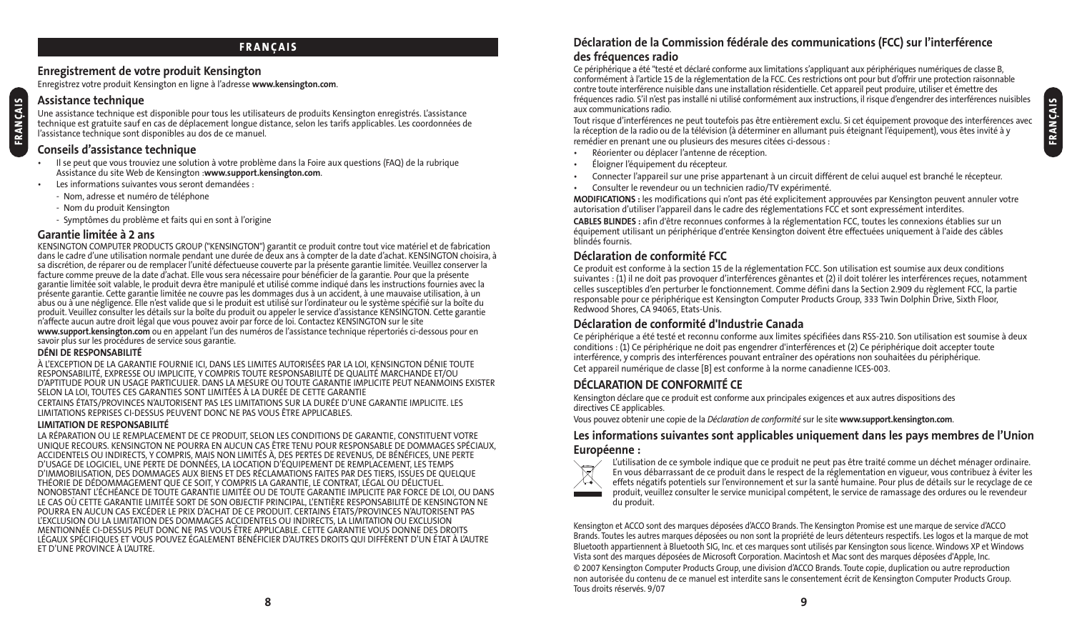### **FRANÇAIS**

#### **Enregistrement de votre produit Kensington**

Enregistrez votre produit Kensington en ligne à l'adresse **www.kensington.com**.

#### **Assistance technique**

**FRANÇAIS**

Une assistance technique est disponible pour tous les utilisateurs de produits Kensington enregistrés. L'assistance technique est gratuite sauf en cas de déplacement longue distance, selon les tarifs applicables. Les coordonnées de l'assistance technique sont disponibles au dos de ce manuel.

### **Conseils d'assistance technique**

- Il se peut que vous trouviez une solution à votre problème dans la Foire aux questions (FAQ) de la rubrique Assistance du site Web de Kensington :**www.support.kensington.com**.
- Les informations suivantes vous seront demandées :
	- Nom, adresse et numéro de téléphone
	- Nom du produit Kensington
	- Symptômes du problème et faits qui en sont à l'origine

#### **Garantie limitée à 2 ans**

KENSINGTON COMPUTER PRODUCTS GROUP ("KENSINGTON") garantit ce produit contre tout vice matériel et de fabrication dans le cadre d'une utilisation normale pendant une durée de deux ans à compter de la date d'achat. KENSINGTON choisira, à sa discrétion, de réparer ou de remplacer l'unité défectueuse couverte par la présente garantie limitée. Veuillez conserver la facture comme preuve de la date d'achat. Elle vous sera nécessaire pour bénéficier de la garantie. Pour que la présente garantie limitée soit valable, le produit devra être manipulé et utilisé comme indiqué dans les instructions fournies avec la présente garantie. Cette garantie limitée ne couvre pas les dommages dus à un accident, à une mauvaise utilisation, à un abus ou à une négligence. Elle n'est valide que si le produit est utilisé sur l'ordinateur ou le système spécifié sur la boîte du produit. Veuillez consulter les détails sur la boîte du produit ou appeler le service d'assistance KENSINGTON. Cette garantie n'affecte aucun autre droit légal que vous pouvez avoir par force de loi. Contactez KENSINGTON sur le site **www.support.kensington.com** ou en appelant l'un des numéros de l'assistance technique répertoriés ci-dessous pour en savoir plus sur les procédures de service sous garantie.

#### **DÉNI DE RESPONSABILITÉ**

À L'EXCEPTION DE LA GARANTIE FOURNIE ICI, DANS LES LIMITES AUTORISÉES PAR LA LOI, KENSINGTON DÉNIE TOUTE RESPONSABILITÉ, EXPRESSE OU IMPLICITE, Y COMPRIS TOUTE RESPONSABILITÉ DE QUALITÉ MARCHANDE ET/OU D'APTITUDE POUR UN USAGE PARTICULIER. DANS LA MESURE OU TOUTE GARANTIE IMPLICITE PEUT NEANMOINS EXISTER SELON LA LOI, TOUTES CES GARANTIES SONT LIMITÉES À LA DURÉE DE CETTE GARANTIE CERTAINS ÉTATS/PROVINCES N'AUTORISENT PAS LES LIMITATIONS SUR LA DURÉE D'UNE GARANTIE IMPLICITE. LES

LIMITATIONS REPRISES CI-DESSUS PEUVENT DONC NE PAS VOUS ÊTRE APPLICABLES.

#### **LIMITATION DE RESPONSABILITÉ**

LA RÉPARATION OU LE REMPLACEMENT DE CE PRODUIT, SELON LES CONDITIONS DE GARANTIE, CONSTITUENT VOTRE UNIQUE RECOURS. KENSINGTON NE POURRA EN AUCUN CAS ÊTRE TENU POUR RESPONSABLE DE DOMMAGES SPÉCIAUX, ACCIDENTELS OU INDIRECTS, Y COMPRIS, MAIS NON LIMITÉS À, DES PERTES DE REVENUS, DE BÉNÉFICES, UNE PERTE D'USAGE DE LOGICIEL, UNE PERTE DE DONNÉES, LA LOCATION D'ÉQUIPEMENT DE REMPLACEMENT, LES TEMPS D'IMMOBILISATION, DES DOMMAGES AUX BIENS ET DES RÉCLAMATIONS FAITES PAR DES TIERS, ISSUES DE QUELQUE THÉORIE DE DÉDOMMAGEMENT QUE CE SOIT, Y COMPRIS LA GARANTIE, LE CONTRAT, LÉGAL OU DÉLICTUEL. NONOBSTANT L'ÉCHÉANCE DE TOUTE GARANTIE LIMITÉE OU DE TOUTE GARANTIE IMPLICITE PAR FORCE DE LOI, OU DANS LE CAS OÙ CETTE GARANTIE LIMITÉE SORT DE SON OBJECTIF PRINCIPAL, L'ENTIÈRE RESPONSABILITÉ DE KENSINGTON NE POURRA EN AUCUN CAS EXCÉDER LE PRIX D'ACHAT DE CE PRODUIT. CERTAINS ÉTATS/PROVINCES N'AUTORISENT PAS L'EXCLUSION OU LA LIMITATION DES DOMMAGES ACCIDENTELS OU INDIRECTS, LA LIMITATION OU EXCLUSION MENTIONNÉE CI-DESSUS PEUT DONC NE PAS VOUS ÊTRE APPLICABLE. CETTE GARANTIE VOUS DONNE DES DROITS LÉGAUX SPÉCIFIQUES ET VOUS POUVEZ ÉGALEMENT BÉNÉFICIER D'AUTRES DROITS QUI DIFFÈRENT D'UN ÉTAT À L'AUTRE ET D'UNE PROVINCE À L'AUTRE.

#### **Déclaration de la Commission fédérale des communications (FCC) sur l'interférence des fréquences radio**

Ce périphérique a été "testé et déclaré conforme aux limitations s'appliquant aux périphériques numériques de classe B, conformément à l'article 15 de la réglementation de la FCC. Ces restrictions ont pour but d'offrir une protection raisonnable contre toute interférence nuisible dans une installation résidentielle. Cet appareil peut produire, utiliser et émettre des fréquences radio. S'il n'est pas installé ni utilisé conformément aux instructions, il risque d'engendrer des interférences nuisibles aux communications radio.

Tout risque d'interférences ne peut toutefois pas être entièrement exclu. Si cet équipement provoque des interférences avec la réception de la radio ou de la télévision (à déterminer en allumant puis éteignant l'équipement), vous êtes invité à y remédier en prenant une ou plusieurs des mesures citées ci-dessous :

- Réorienter ou déplacer l'antenne de réception.
- Éloigner l'équipement du récepteur.
- Connecter l'appareil sur une prise appartenant à un circuit différent de celui auquel est branché le récepteur.
- Consulter le revendeur ou un technicien radio/TV expérimenté.

**MODIFICATIONS :** les modifications qui n'ont pas été explicitement approuvées par Kensington peuvent annuler votre autorisation d'utiliser l'appareil dans le cadre des réglementations FCC et sont expressément interdites.

**CABLES BLINDES :** afin d'être reconnues conformes à la réglementation FCC, toutes les connexions établies sur un équipement utilisant un périphérique d'entrée Kensington doivent être effectuées uniquement à l'aide des câbles blindés fournis.

#### **Déclaration de conformité FCC**

Ce produit est conforme à la section 15 de la réglementation FCC. Son utilisation est soumise aux deux conditions suivantes : (1) il ne doit pas provoquer d'interférences gênantes et (2) il doit tolérer les interférences reçues, notamment celles susceptibles d'en perturber le fonctionnement. Comme défini dans la Section 2.909 du règlement FCC, la partie responsable pour ce périphérique est Kensington Computer Products Group, 333 Twin Dolphin Drive, Sixth Floor, Redwood Shores, CA 94065, Etats-Unis.

#### **Déclaration de conformité d'Industrie Canada**

Ce périphérique a été testé et reconnu conforme aux limites spécifiées dans RSS-210. Son utilisation est soumise à deux conditions : (1) Ce périphérique ne doit pas engendrer d'interférences et (2) Ce périphérique doit accepter toute interférence, y compris des interférences pouvant entraîner des opérations non souhaitées du périphérique. Cet appareil numérique de classe [B] est conforme à la norme canadienne ICES-003.

#### **DÉCLARATION DE CONFORMITÉ CE**

Kensington déclare que ce produit est conforme aux principales exigences et aux autres dispositions des directives CE applicables.

Vous pouvez obtenir une copie de la *Déclaration de conformité* sur le site **www.support.kensington.com**.

#### **Les informations suivantes sont applicables uniquement dans les pays membres de l'Union Européenne :**



L'utilisation de ce symbole indique que ce produit ne peut pas être traité comme un déchet ménager ordinaire. En vous débarrassant de ce produit dans le respect de la réglementation en vigueur, vous contribuez à éviter les effets négatifs potentiels sur l'environnement et sur la santé humaine. Pour plus de détails sur le recyclage de ce produit, veuillez consulter le service municipal compétent, le service de ramassage des ordures ou le revendeur du produit.

Kensington et ACCO sont des marques déposées d'ACCO Brands. The Kensington Promise est une marque de service d'ACCO Brands. Toutes les autres marques déposées ou non sont la propriété de leurs détenteurs respectifs. Les logos et la marque de mot Bluetooth appartiennent à Bluetooth SIG, Inc. et ces marques sont utilisés par Kensington sous licence. Windows XP et Windows Vista sont des marques déposées de Microsoft Corporation. Macintosh et Mac sont des marques déposées d'Apple, Inc. © 2007 Kensington Computer Products Group, une division d'ACCO Brands. Toute copie, duplication ou autre reproduction non autorisée du contenu de ce manuel est interdite sans le consentement écrit de Kensington Computer Products Group. Tous droits réservés. 9/07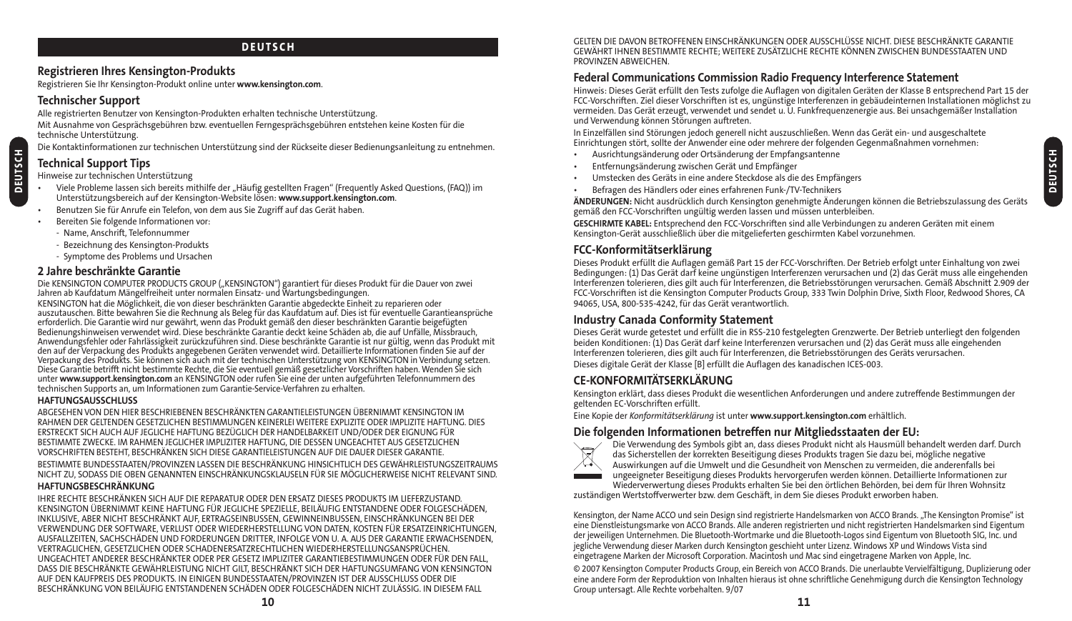#### **DEUTSCH**

#### **Registrieren Ihres Kensington-Produkts**

Registrieren Sie Ihr Kensington-Produkt online unter **www.kensington.com**.

#### **Technischer Support**

Alle registrierten Benutzer von Kensington-Produkten erhalten technische Unterstützung.

Mit Ausnahme von Gesprächsgebühren bzw. eventuellen Ferngesprächsgebühren entstehen keine Kosten für die technische Unterstützung.

Die Kontaktinformationen zur technischen Unterstützung sind der Rückseite dieser Bedienungsanleitung zu entnehmen.

# **Technical Support Tips**

Hinweise zur technischen Unterstützung

- Viele Probleme lassen sich bereits mithilfe der "Häufig gestellten Fragen" (Frequently Asked Questions, (FAQ)) im Unterstützungsbereich auf der Kensington-Website lösen: **www.support.kensington.com**.
- Benutzen Sie für Anrufe ein Telefon, von dem aus Sie Zugriff auf das Gerät haben.
- Bereiten Sie folgende Informationen vor:
	- Name, Anschrift, Telefonnummer
	- Bezeichnung des Kensington-Produkts
	- Symptome des Problems und Ursachen

#### **2 Jahre beschränkte Garantie**

Die KENSINGTON COMPUTER PRODUCTS GROUP ("KENSINGTON") garantiert für dieses Produkt für die Dauer von zwei Jahren ab Kaufdatum Mängelfreiheit unter normalen Einsatz- und Wartungsbedingungen.

KENSINGTON hat die Möglichkeit, die von dieser beschränkten Garantie abgedeckte Einheit zu reparieren oder auszutauschen. Bitte bewahren Sie die Rechnung als Beleg für das Kaufdatum auf. Dies ist für eventuelle Garantieansprüche erforderlich. Die Garantie wird nur gewährt, wenn das Produkt gemäß den dieser beschränkten Garantie beigefügten Bedienungshinweisen verwendet wird. Diese beschränkte Garantie deckt keine Schäden ab, die auf Unfälle, Missbrauch, Anwendungsfehler oder Fahrlässigkeit zurückzuführen sind. Diese beschränkte Garantie ist nur gültig, wenn das Produkt mit den auf der Verpackung des Produkts angegebenen Geräten verwendet wird. Detaillierte Informationen finden Sie auf der Verpackung des Produkts. Sie können sich auch mit der technischen Unterstützung von KENSINGTON in Verbindung setzen. Diese Garantie betrifft nicht bestimmte Rechte, die Sie eventuell gemäß gesetzlicher Vorschriften haben. Wenden Sie sich unter **www.support.kensington.com** an KENSINGTON oder rufen Sie eine der unten aufgeführten Telefonnummern des technischen Supports an, um Informationen zum Garantie-Service-Verfahren zu erhalten.

#### **HAFTUNGSAUSSCHLUSS**

ABGESEHEN VON DEN HIER BESCHRIEBENEN BESCHRÄNKTEN GARANTIELEISTUNGEN ÜBERNIMMT KENSINGTON IM RAHMEN DER GELTENDEN GESETZLICHEN BESTIMMUNGEN KEINERLEI WEITERE EXPLIZITE ODER IMPLIZITE HAFTUNG. DIES ERSTRECKT SICH AUCH AUF JEGLICHE HAFTUNG BEZÜGLICH DER HANDELBARKEIT UND/ODER DER EIGNUNG FÜR BESTIMMTE ZWECKE. IM RAHMEN JEGLICHER IMPLIZITER HAFTUNG, DIE DESSEN UNGEACHTET AUS GESETZLICHEN VORSCHRIFTEN BESTEHT, BESCHRÄNKEN SICH DIESE GARANTIELEISTUNGEN AUF DIE DAUER DIESER GARANTIE. BESTIMMTE BUNDESSTAATEN/PROVINZEN LASSEN DIE BESCHRÄNKUNG HINSICHTLICH DES GEWÄHRLEISTUNGSZEITRAUMS NICHT ZU, SODASS DIE OBEN GENANNTEN EINSCHRÄNKUNGSKLAUSELN FÜR SIE MÖGLICHERWEISE NICHT RELEVANT SIND.

#### **HAFTUNGSBESCHRÄNKUNG**

IHRE RECHTE BESCHRÄNKEN SICH AUF DIE REPARATUR ODER DEN ERSATZ DIESES PRODUKTS IM LIEFERZUSTAND. KENSINGTON ÜBERNIMMT KEINE HAFTUNG FÜR JEGLICHE SPEZIELLE, BEILÄUFIG ENTSTANDENE ODER FOLGESCHÄDEN, INKLUSIVE, ABER NICHT BESCHRÄNKT AUF, ERTRAGSEINBUSSEN, GEWINNEINBUSSEN, EINSCHRÄNKUNGEN BEI DER VERWENDUNG DER SOFTWARE, VERLUST ODER WIEDERHERSTELLUNG VON DATEN, KOSTEN FÜR ERSATZEINRICHTUNGEN, AUSFALLZEITEN, SACHSCHÄDEN UND FORDERUNGEN DRITTER, INFOLGE VON U. A. AUS DER GARANTIE ERWACHSENDEN, VERTRAGLICHEN, GESETZLICHEN ODER SCHADENERSATZRECHTLICHEN WIEDERHERSTELLUNGSANSPRÜCHEN. UNGEACHTET ANDERER BESCHRÄNKTER ODER PER GESETZ IMPLIZITER GARANTIEBESTIMMUNGEN ODER FÜR DEN FALL, DASS DIE BESCHRÄNKTE GEWÄHRLEISTUNG NICHT GILT, BESCHRÄNKT SICH DER HAFTUNGSUMFANG VON KENSINGTON AUF DEN KAUFPREIS DES PRODUKTS. IN EINIGEN BUNDESSTAATEN/PROVINZEN IST DER AUSSCHLUSS ODER DIE BESCHRÄNKUNG VON BEILÄUFIG ENTSTANDENEN SCHÄDEN ODER FOLGESCHÄDEN NICHT ZULÄSSIG. IN DIESEM FALL

GELTEN DIE DAVON BETROFFENEN EINSCHRÄNKUNGEN ODER AUSSCHLÜSSE NICHT. DIESE BESCHRÄNKTE GARANTIE GEWÄHRT IHNEN BESTIMMTE RECHTE; WEITERE ZUSÄTZLICHE RECHTE KÖNNEN ZWISCHEN BUNDESSTAATEN UND PROVINZEN ABWEICHEN.

### **Federal Communications Commission Radio Frequency Interference Statement**

Hinweis: Dieses Gerät erfüllt den Tests zufolge die Auflagen von digitalen Geräten der Klasse B entsprechend Part 15 der FCC-Vorschriften. Ziel dieser Vorschriften ist es, ungünstige Interferenzen in gebäudeinternen Installationen möglichst zu vermeiden. Das Gerät erzeugt, verwendet und sendet u. U. Funkfrequenzenergie aus. Bei unsachgemäßer Installation und Verwendung können Störungen auftreten.

In Einzelfällen sind Störungen jedoch generell nicht auszuschließen. Wenn das Gerät ein- und ausgeschaltete Einrichtungen stört, sollte der Anwender eine oder mehrere der folgenden Gegenmaßnahmen vornehmen:

- Ausrichtungsänderung oder Ortsänderung der Empfangsantenne
- Entfernungsänderung zwischen Gerät und Empfänger
- Umstecken des Geräts in eine andere Steckdose als die des Empfängers
- Befragen des Händlers oder eines erfahrenen Funk-/TV-Technikers

**ÄNDERUNGEN:** Nicht ausdrücklich durch Kensington genehmigte Änderungen können die Betriebszulassung des Geräts gemäß den FCC-Vorschriften ungültig werden lassen und müssen unterbleiben.

**GESCHIRMTE KABEL:** Entsprechend den FCC-Vorschriften sind alle Verbindungen zu anderen Geräten mit einem Kensington-Gerät ausschließlich über die mitgelieferten geschirmten Kabel vorzunehmen.

#### **FCC-Konformitätserklärung**

Dieses Produkt erfüllt die Auflagen gemäß Part 15 der FCC-Vorschriften. Der Betrieb erfolgt unter Einhaltung von zwei Bedingungen: (1) Das Gerät darf keine ungünstigen Interferenzen verursachen und (2) das Gerät muss alle eingehenden Interferenzen tolerieren, dies gilt auch für Interferenzen, die Betriebsstörungen verursachen. Gemäß Abschnitt 2.909 der FCC-Vorschriften ist die Kensington Computer Products Group, 333 Twin Dolphin Drive, Sixth Floor, Redwood Shores, CA 94065, USA, 800-535-4242, für das Gerät verantwortlich.

#### **Industry Canada Conformity Statement**

Dieses Gerät wurde getestet und erfüllt die in RSS-210 festgelegten Grenzwerte. Der Betrieb unterliegt den folgenden beiden Konditionen: (1) Das Gerät darf keine Interferenzen verursachen und (2) das Gerät muss alle eingehenden Interferenzen tolerieren, dies gilt auch für Interferenzen, die Betriebsstörungen des Geräts verursachen. Dieses digitale Gerät der Klasse [B] erfüllt die Auflagen des kanadischen ICES-003.

### **CE-KONFORMITÄTSERKLÄRUNG**

Kensington erklärt, dass dieses Produkt die wesentlichen Anforderungen und andere zutreffende Bestimmungen der geltenden EC-Vorschriften erfüllt.

Eine Kopie der *Konformitätserklärung* ist unter **www.support.kensington.com** erhältlich.

#### **Die folgenden Informationen betreffen nur Mitgliedsstaaten der EU:**



Die Verwendung des Symbols gibt an, dass dieses Produkt nicht als Hausmüll behandelt werden darf. Durch das Sicherstellen der korrekten Beseitigung dieses Produkts tragen Sie dazu bei, mögliche negative Auswirkungen auf die Umwelt und die Gesundheit von Menschen zu vermeiden, die anderenfalls bei ungeeigneter Beseitigung dieses Produkts hervorgerufen werden können. Detaillierte Informationen zur

Wiederverwertung dieses Produkts erhalten Sie bei den örtlichen Behörden, bei dem für Ihren Wohnsitz zuständigen Wertstoffverwerter bzw. dem Geschäft, in dem Sie dieses Produkt erworben haben.

Kensington, der Name ACCO und sein Design sind registrierte Handelsmarken von ACCO Brands. "The Kensington Promise" ist eine Dienstleistungsmarke von ACCO Brands. Alle anderen registrierten und nicht registrierten Handelsmarken sind Eigentum der jeweiligen Unternehmen. Die Bluetooth-Wortmarke und die Bluetooth-Logos sind Eigentum von Bluetooth SIG, Inc. und jegliche Verwendung dieser Marken durch Kensington geschieht unter Lizenz. Windows XP und Windows Vista sind eingetragene Marken der Microsoft Corporation. Macintosh und Mac sind eingetragene Marken von Apple, Inc.

© 2007 Kensington Computer Products Group, ein Bereich von ACCO Brands. Die unerlaubte Vervielfältigung, Duplizierung oder eine andere Form der Reproduktion von Inhalten hieraus ist ohne schriftliche Genehmigung durch die Kensington Technology Group untersagt. Alle Rechte vorbehalten. 9/07

**DEUTSCH**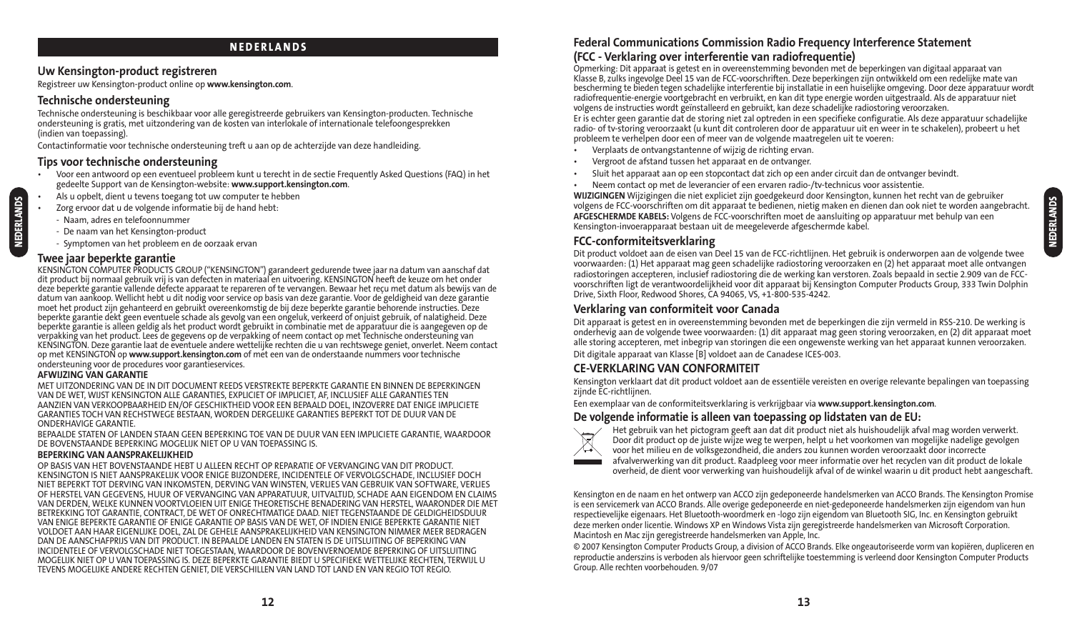#### **NEDERLANDS**

#### **Uw Kensington-product registreren**

Registreer uw Kensington-product online op **www.kensington.com**.

#### **Technische ondersteuning**

Technische ondersteuning is beschikbaar voor alle geregistreerde gebruikers van Kensington-producten. Technische ondersteuning is gratis, met uitzondering van de kosten van interlokale of internationale telefoongesprekken (indien van toepassing).

Contactinformatie voor technische ondersteuning treft u aan op de achterzijde van deze handleiding.

### **Tips voor technische ondersteuning**

- Voor een antwoord op een eventueel probleem kunt u terecht in de sectie Frequently Asked Questions (FAQ) in het gedeelte Support van de Kensington-website: **www.support.kensington.com**.
- Als u opbelt, dient u tevens toegang tot uw computer te hebben
- Zorg ervoor dat u de volgende informatie bij de hand hebt:
	- Naam, adres en telefoonnummer
	- De naam van het Kensington-product
	- Symptomen van het probleem en de oorzaak ervan

#### **Twee jaar beperkte garantie**

**NEDERLANDS**

NEDERLANDS

KENSINGTON COMPUTER PRODUCTS GROUP ("KENSINGTON") garandeert gedurende twee jaar na datum van aanschaf dat dit product bij normaal gebruik vrij is van defecten in materiaal en uitvoering. KENSINGTON heeft de keuze om het onder deze beperkte garantie vallende defecte apparaat te repareren of te vervangen. Bewaar het reçu met datum als bewijs van de datum van aankoop. Wellicht hebt u dit nodig voor service op basis van deze garantie. Voor de geldigheid van deze garantie moet het product zijn gehanteerd en gebruikt overeenkomstig de bij deze beperkte garantie behorende instructies. Deze beperkte garantie dekt geen eventuele schade als gevolg van een ongeluk, verkeerd of onjuist gebruik, of nalatigheid. Deze beperkte garantie is alleen geldig als het product wordt gebruikt in combinatie met de apparatuur die is aangegeven op de verpakking van het product. Lees de gegevens op de verpakking of neem contact op met Technische ondersteuning van KENSINGTON. Deze garantie laat de eventuele andere wettelijke rechten die u van rechtswege geniet, onverlet. Neem contact op met KENSINGTON op **www.support.kensington.com** of met een van de onderstaande nummers voor technische ondersteuning voor de procedures voor garantieservices.

#### **AFWIJZING VAN GARANTIE**

MET UITZONDERING VAN DE IN DIT DOCUMENT REEDS VERSTREKTE BEPERKTE GARANTIE EN BINNEN DE BEPERKINGEN VAN DE WET, WIJST KENSINGTON ALLE GARANTIES, EXPLICIET OF IMPLICIET, AF, INCLUSIEF ALLE GARANTIES TEN AANZIEN VAN VERKOOPBAARHEID EN/OF GESCHIKTHEID VOOR EEN BEPAALD DOEL, INZOVERRE DAT ENIGE IMPLICIETE GARANTIES TOCH VAN RECHSTWEGE BESTAAN, WORDEN DERGELIJKE GARANTIES BEPERKT TOT DE DUUR VAN DE ONDERHAVIGE GARANTIE.

BEPAALDE STATEN OF LANDEN STAAN GEEN BEPERKING TOE VAN DE DUUR VAN EEN IMPLICIETE GARANTIE, WAARDOOR DE BOVENSTAANDE BEPERKING MOGELIJK NIET OP U VAN TOEPASSING IS.

#### **BEPERKING VAN AANSPRAKELIJKHEID**

OP BASIS VAN HET BOVENSTAANDE HEBT U ALLEEN RECHT OP REPARATIE OF VERVANGING VAN DIT PRODUCT. KENSINGTON IS NIET AANSPRAKELIJK VOOR ENIGE BIJZONDERE, INCIDENTELE OF VERVOLGSCHADE, INCLUSIEF DOCH NIET BEPERKT TOT DERVING VAN INKOMSTEN, DERVING VAN WINSTEN, VERLIES VAN GEBRUIK VAN SOFTWARE, VERLIES OF HERSTEL VAN GEGEVENS, HUUR OF VERVANGING VAN APPARATUUR, UITVALTIJD, SCHADE AAN EIGENDOM EN CLAIMS VAN DERDEN, WELKE KUNNEN VOORTVLOEIEN UIT ENIGE THEORETISCHE BENADERING VAN HERSTEL, WAARONDER DIE MET BETREKKING TOT GARANTIE, CONTRACT, DE WET OF ONRECHTMATIGE DAAD. NIET TEGENSTAANDE DE GELDIGHEIDSDUUR VAN ENIGE BEPERKTE GARANTIE OF ENIGE GARANTIE OP BASIS VAN DE WET, OF INDIEN ENIGE BEPERKTE GARANTIE NIET VOLDOET AAN HAAR EIGENLIJKE DOEL, ZAL DE GEHELE AANSPRAKELIJKHEID VAN KENSINGTON NIMMER MEER BEDRAGEN DAN DE AANSCHAFPRIJS VAN DIT PRODUCT. IN BEPAALDE LANDEN EN STATEN IS DE UITSLUITING OF BEPERKING VAN INCIDENTELE OF VERVOLGSCHADE NIET TOEGESTAAN, WAARDOOR DE BOVENVERNOEMDE BEPERKING OF UITSLUITING MOGELIJK NIET OP U VAN TOEPASSING IS. DEZE BEPERKTE GARANTIE BIEDT U SPECIFIEKE WETTELIJKE RECHTEN, TERWIJL U TEVENS MOGELIJKE ANDERE RECHTEN GENIET, DIE VERSCHILLEN VAN LAND TOT LAND EN VAN REGIO TOT REGIO.

#### **Federal Communications Commission Radio Frequency Interference Statement (FCC - Verklaring over interferentie van radiofrequentie)**

Opmerking: Dit apparaat is getest en in overeenstemming bevonden met de beperkingen van digitaal apparaat van Klasse B, zulks ingevolge Deel 15 van de FCC-voorschriften. Deze beperkingen zijn ontwikkeld om een redelijke mate van bescherming te bieden tegen schadelijke interferentie bij installatie in een huiselijke omgeving. Door deze apparatuur wordt radiofrequentie-energie voortgebracht en verbruikt, en kan dit type energie worden uitgestraald. Als de apparatuur niet volgens de instructies wordt geïnstalleerd en gebruikt, kan deze schadelijke radiostoring veroorzaken. Er is echter geen garantie dat de storing niet zal optreden in een specifieke configuratie. Als deze apparatuur schadelijke

radio- of tv-storing veroorzaakt (u kunt dit controleren door de apparatuur uit en weer in te schakelen), probeert u het probleem te verhelpen door een of meer van de volgende maatregelen uit te voeren:

- Verplaats de ontvangstantenne of wijzig de richting ervan.
- Vergroot de afstand tussen het apparaat en de ontvanger.
- Sluit het apparaat aan op een stopcontact dat zich op een ander circuit dan de ontvanger bevindt.
- Neem contact op met de leverancier of een ervaren radio-/tv-technicus voor assistentie.

**WIJZIGINGEN** Wijzigingen die niet expliciet zijn goedgekeurd door Kensington, kunnen het recht van de gebruiker volgens de FCC-voorschriften om dit apparaat te bedienen, nietig maken en dienen dan ook niet te worden aangebracht. **AFGESCHERMDE KABELS:** Volgens de FCC-voorschriften moet de aansluiting op apparatuur met behulp van een Kensington-invoerapparaat bestaan uit de meegeleverde afgeschermde kabel.

#### **FCC-conformiteitsverklaring**

Dit product voldoet aan de eisen van Deel 15 van de FCC-richtlijnen. Het gebruik is onderworpen aan de volgende twee voorwaarden: (1) Het apparaat mag geen schadelijke radiostoring veroorzaken en (2) het apparaat moet alle ontvangen radiostoringen accepteren, inclusief radiostoring die de werking kan verstoren. Zoals bepaald in sectie 2.909 van de FCCvoorschriften ligt de verantwoordelijkheid voor dit apparaat bij Kensington Computer Products Group, 333 Twin Dolphin Drive, Sixth Floor, Redwood Shores, CA 94065, VS, +1-800-535-4242.

#### **Verklaring van conformiteit voor Canada**

Dit apparaat is getest en in overeenstemming bevonden met de beperkingen die zijn vermeld in RSS-210. De werking is onderhevig aan de volgende twee voorwaarden: (1) dit apparaat mag geen storing veroorzaken, en (2) dit apparaat moet alle storing accepteren, met inbegrip van storingen die een ongewenste werking van het apparaat kunnen veroorzaken. Dit digitale apparaat van Klasse [B] voldoet aan de Canadese ICES-003.

### **CE-VERKLARING VAN CONFORMITEIT**

Kensington verklaart dat dit product voldoet aan de essentiële vereisten en overige relevante bepalingen van toepassing zijnde EC-richtlijnen.

Een exemplaar van de conformiteitsverklaring is verkrijgbaar via **www.support.kensington.com**.

#### **De volgende informatie is alleen van toepassing op lidstaten van de EU:**



Het gebruik van het pictogram geeft aan dat dit product niet als huishoudelijk afval mag worden verwerkt. Door dit product op de juiste wijze weg te werpen, helpt u het voorkomen van mogelijke nadelige gevolgen voor het milieu en de volksgezondheid, die anders zou kunnen worden veroorzaakt door incorrecte afvalverwerking van dit product. Raadpleeg voor meer informatie over het recyclen van dit product de lokale overheid, de dient voor verwerking van huishoudelijk afval of de winkel waarin u dit product hebt aangeschaft.

Kensington en de naam en het ontwerp van ACCO zijn gedeponeerde handelsmerken van ACCO Brands. The Kensington Promise is een servicemerk van ACCO Brands. Alle overige gedeponeerde en niet-gedeponeerde handelsmerken zijn eigendom van hun respectievelijke eigenaars. Het Bluetooth-woordmerk en -logo zijn eigendom van Bluetooth SIG, Inc. en Kensington gebruikt deze merken onder licentie. Windows XP en Windows Vista zijn geregistreerde handelsmerken van Microsoft Corporation. Macintosh en Mac zijn geregistreerde handelsmerken van Apple, Inc.

© 2007 Kensington Computer Products Group, a division of ACCO Brands. Elke ongeautoriseerde vorm van kopiëren, dupliceren en reproductie anderszins is verboden als hiervoor geen schriftelijke toestemming is verleend door Kensington Computer Products Group. Alle rechten voorbehouden. 9/07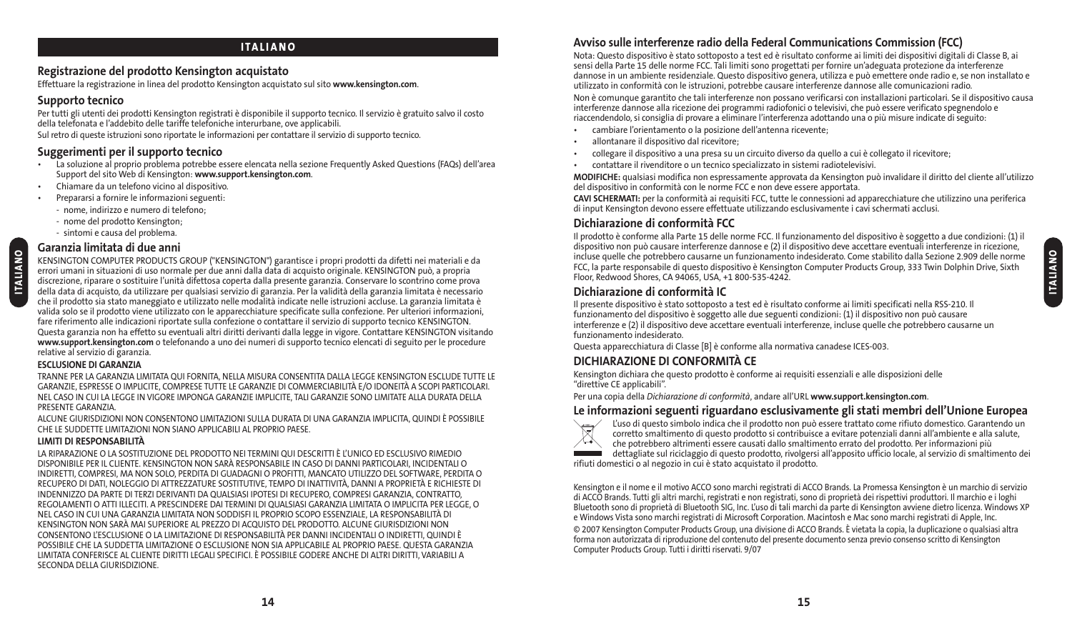#### **ITALIANO**

#### **Registrazione del prodotto Kensington acquistato**

Effettuare la registrazione in linea del prodotto Kensington acquistato sul sito **www.kensington.com**.

### **Supporto tecnico**

Per tutti gli utenti dei prodotti Kensington registrati è disponibile il supporto tecnico. Il servizio è gratuito salvo il costo della telefonata e l'addebito delle tariffe telefoniche interurbane, ove applicabili.

Sul retro di queste istruzioni sono riportate le informazioni per contattare il servizio di supporto tecnico.

## **Suggerimenti per il supporto tecnico**

- La soluzione al proprio problema potrebbe essere elencata nella sezione Frequently Asked Questions (FAQs) dell'area Support del sito Web di Kensington: **www.support.kensington.com**.
- Chiamare da un telefono vicino al dispositivo.
- Prepararsi a fornire le informazioni seguenti:
	- nome, indirizzo e numero di telefono;
	- nome del prodotto Kensington;
	- sintomi e causa del problema.

#### **Garanzia limitata di due anni**

KENSINGTON COMPUTER PRODUCTS GROUP ("KENSINGTON") garantisce i propri prodotti da difetti nei materiali e da errori umani in situazioni di uso normale per due anni dalla data di acquisto originale. KENSINGTON può, a propria discrezione, riparare o sostituire l'unità difettosa coperta dalla presente garanzia. Conservare lo scontrino come prova della data di acquisto, da utilizzare per qualsiasi servizio di garanzia. Per la validità della garanzia limitata è necessario che il prodotto sia stato maneggiato e utilizzato nelle modalità indicate nelle istruzioni accluse. La garanzia limitata è valida solo se il prodotto viene utilizzato con le apparecchiature specificate sulla confezione. Per ulteriori informazioni, fare riferimento alle indicazioni riportate sulla confezione o contattare il servizio di supporto tecnico KENSINGTON. Questa garanzia non ha effetto su eventuali altri diritti derivanti dalla legge in vigore. Contattare KENSINGTON visitando **www.support.kensington.com** o telefonando a uno dei numeri di supporto tecnico elencati di seguito per le procedure relative al servizio di garanzia.

#### **ESCLUSIONE DI GARANZIA**

**ITALIANO**

**ITALIANO** 

TRANNE PER LA GARANZIA LIMITATA QUI FORNITA, NELLA MISURA CONSENTITA DALLA LEGGE KENSINGTON ESCLUDE TUTTE LE GARANZIE, ESPRESSE O IMPLICITE, COMPRESE TUTTE LE GARANZIE DI COMMERCIABILITÀ E/O IDONEITÀ A SCOPI PARTICOLARI. NEL CASO IN CUI LA LEGGE IN VIGORE IMPONGA GARANZIE IMPLICITE, TALI GARANZIE SONO LIMITATE ALLA DURATA DELLA PRESENTE GARANZIA.

ALCUNE GIURISDIZIONI NON CONSENTONO LIMITAZIONI SULLA DURATA DI UNA GARANZIA IMPLICITA, QUINDI È POSSIBILE CHE LE SUDDETTE LIMITAZIONI NON SIANO APPLICABILI AL PROPRIO PAESE.

#### **LIMITI DI RESPONSABILITÀ**

LA RIPARAZIONE O LA SOSTITUZIONE DEL PRODOTTO NEI TERMINI QUI DESCRITTI È L'UNICO ED ESCLUSIVO RIMEDIO DISPONIBILE PER IL CLIENTE. KENSINGTON NON SARÀ RESPONSABILE IN CASO DI DANNI PARTICOLARI, INCIDENTALI O INDIRETTI, COMPRESI, MA NON SOLO, PERDITA DI GUADAGNI O PROFITTI, MANCATO UTILIZZO DEL SOFTWARE, PERDITA O RECUPERO DI DATI, NOLEGGIO DI ATTREZZATURE SOSTITUTIVE, TEMPO DI INATTIVITÀ, DANNI A PROPRIETÀ E RICHIESTE DI INDENNIZZO DA PARTE DI TERZI DERIVANTI DA QUALSIASI IPOTESI DI RECUPERO, COMPRESI GARANZIA, CONTRATTO, REGOLAMENTI O ATTI ILLECITI. A PRESCINDERE DAI TERMINI DI QUALSIASI GARANZIA LIMITATA O IMPLICITA PER LEGGE, O NEL CASO IN CUI UNA GARANZIA LIMITATA NON SODDISFI IL PROPRIO SCOPO ESSENZIALE, LA RESPONSABILITÀ DI KENSINGTON NON SARÀ MAI SUPERIORE AL PREZZO DI ACQUISTO DEL PRODOTTO. ALCUNE GIURISDIZIONI NON CONSENTONO L'ESCLUSIONE O LA LIMITAZIONE DI RESPONSABILITÀ PER DANNI INCIDENTALI O INDIRETTI, QUINDI È POSSIBILE CHE LA SUDDETTA LIMITAZIONE O ESCLUSIONE NON SIA APPLICABILE AL PROPRIO PAESE. QUESTA GARANZIA LIMITATA CONFERISCE AL CLIENTE DIRITTI LEGALI SPECIFICI. È POSSIBILE GODERE ANCHE DI ALTRI DIRITTI, VARIABILI A SECONDA DELLA GIURISDIZIONE.

# **Avviso sulle interferenze radio della Federal Communications Commission (FCC)**

Nota: Questo dispositivo è stato sottoposto a test ed è risultato conforme ai limiti dei dispositivi digitali di Classe B, ai sensi della Parte 15 delle norme FCC. Tali limiti sono progettati per fornire un'adeguata protezione da interferenze dannose in un ambiente residenziale. Questo dispositivo genera, utilizza e può emettere onde radio e, se non installato e utilizzato in conformità con le istruzioni, potrebbe causare interferenze dannose alle comunicazioni radio.

Non è comunque garantito che tali interferenze non possano verificarsi con installazioni particolari. Se il dispositivo causa interferenze dannose alla ricezione dei programmi radiofonici o televisivi, che può essere verificato spegnendolo e riaccendendolo, si consiglia di provare a eliminare l'interferenza adottando una o più misure indicate di seguito:

- cambiare l'orientamento o la posizione dell'antenna ricevente;
- allontanare il dispositivo dal ricevitore;
- collegare il dispositivo a una presa su un circuito diverso da quello a cui è collegato il ricevitore;
- contattare il rivenditore o un tecnico specializzato in sistemi radiotelevisivi.

**MODIFICHE:** qualsiasi modifica non espressamente approvata da Kensington può invalidare il diritto del cliente all'utilizzo del dispositivo in conformità con le norme FCC e non deve essere apportata.

**CAVI SCHERMATI:** per la conformità ai requisiti FCC, tutte le connessioni ad apparecchiature che utilizzino una periferica di input Kensington devono essere effettuate utilizzando esclusivamente i cavi schermati acclusi.

# **Dichiarazione di conformità FCC**

Il prodotto è conforme alla Parte 15 delle norme FCC. Il funzionamento del dispositivo è soggetto a due condizioni: (1) il dispositivo non può causare interferenze dannose e (2) il dispositivo deve accettare eventuali interferenze in ricezione, incluse quelle che potrebbero causarne un funzionamento indesiderato. Come stabilito dalla Sezione 2.909 delle norme FCC, la parte responsabile di questo dispositivo è Kensington Computer Products Group, 333 Twin Dolphin Drive, Sixth Floor, Redwood Shores, CA 94065, USA, +1 800-535-4242.

#### **Dichiarazione di conformità IC**

Il presente dispositivo è stato sottoposto a test ed è risultato conforme ai limiti specificati nella RSS-210. Il funzionamento del dispositivo è soggetto alle due seguenti condizioni: (1) il dispositivo non può causare interferenze e (2) il dispositivo deve accettare eventuali interferenze, incluse quelle che potrebbero causarne un funzionamento indesiderato.

Questa apparecchiatura di Classe [B] è conforme alla normativa canadese ICES-003.

# **DICHIARAZIONE DI CONFORMITÀ CE**

Kensington dichiara che questo prodotto è conforme ai requisiti essenziali e alle disposizioni delle "direttive CE applicabili".

Per una copia della *Dichiarazione di conformità*, andare all'URL **www.support.kensington.com**.

#### **Le informazioni seguenti riguardano esclusivamente gli stati membri dell'Unione Europea**



L'uso di questo simbolo indica che il prodotto non può essere trattato come rifiuto domestico. Garantendo un corretto smaltimento di questo prodotto si contribuisce a evitare potenziali danni all'ambiente e alla salute, che potrebbero altrimenti essere causati dallo smaltimento errato del prodotto. Per informazioni più dettagliate sul riciclaggio di questo prodotto, rivolgersi all'apposito ufficio locale, al servizio di smaltimento dei rifiuti domestici o al negozio in cui è stato acquistato il prodotto.

Kensington e il nome e il motivo ACCO sono marchi registrati di ACCO Brands. La Promessa Kensington è un marchio di servizio di ACCO Brands. Tutti gli altri marchi, registrati e non registrati, sono di proprietà dei rispettivi produttori. Il marchio e i loghi Bluetooth sono di proprietà di Bluetooth SIG, Inc. L'uso di tali marchi da parte di Kensington avviene dietro licenza. Windows XP e Windows Vista sono marchi registrati di Microsoft Corporation. Macintosh e Mac sono marchi registrati di Apple, Inc. © 2007 Kensington Computer Products Group, una divisione di ACCO Brands. È vietata la copia, la duplicazione o qualsiasi altra forma non autorizzata di riproduzione del contenuto del presente documento senza previo consenso scritto di Kensington Computer Products Group. Tutti i diritti riservati. 9/07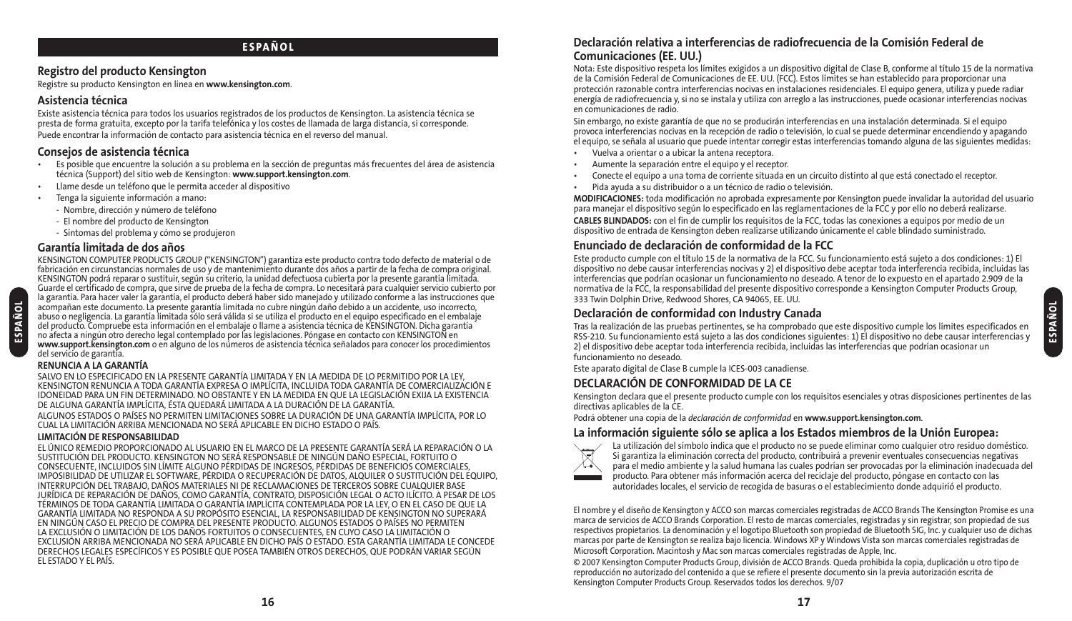## **ESPAÑOL**

### **Registro del producto Kensington**

Registre su producto Kensington en línea en **www.kensington.com**.

#### **Asistencia técnica**

Existe asistencia técnica para todos los usuarios registrados de los productos de Kensington. La asistencia técnica se presta de forma gratuita, excepto por la tarifa telefónica y los costes de llamada de larga distancia, si corresponde. Puede encontrar la información de contacto para asistencia técnica en el reverso del manual.

#### **Consejos de asistencia técnica**

- Es posible que encuentre la solución a su problema en la sección de preguntas más frecuentes del área de asistencia técnica (Support) del sitio web de Kensington: **www.support.kensington.com**.
- Llame desde un teléfono que le permita acceder al dispositivo
- Tenga la siguiente información a mano:
	- Nombre, dirección y número de teléfono
	- El nombre del producto de Kensington
	- Síntomas del problema y cómo se produjeron

#### **Garantía limitada de dos años**

KENSINGTON COMPUTER PRODUCTS GROUP ("KENSINGTON") garantiza este producto contra todo defecto de material o de fabricación en circunstancias normales de uso y de mantenimiento durante dos años a partir de la fecha de compra original. KENSINGTON podrá reparar o sustituir, según su criterio, la unidad defectuosa cubierta por la presente garantía limitada. Guarde el certificado de compra, que sirve de prueba de la fecha de compra. Lo necesitará para cualquier servicio cubierto por la garantía. Para hacer valer la garantía, el producto deberá haber sido manejado y utilizado conforme a las instrucciones que acompañan este documento. La presente garantía limitada no cubre ningún daño debido a un accidente, uso incorrecto, abuso o negligencia. La garantía limitada sólo será válida si se utiliza el producto en el equipo especificado en el embalaje del producto. Compruebe esta información en el embalaje o llame a asistencia técnica de KENSINGTON. Dicha garantía no afecta a ningún otro derecho legal contemplado por las legislaciones. Póngase en contacto con KENSINGTON en **www.support.kensington.com** o en alguno de los números de asistencia técnica señalados para conocer los procedimientos del servicio de garantía.

#### **RENUNCIA A LA GARANTÍA**

SALVO EN LO ESPECIFICADO EN LA PRESENTE GARANTÍA LIMITADA Y EN LA MEDIDA DE LO PERMITIDO POR LA LEY, KENSINGTON RENUNCIA A TODA GARANTÍA EXPRESA O IMPLÍCITA, INCLUIDA TODA GARANTÍA DE COMERCIALIZACIÓN E IDONEIDAD PARA UN FIN DETERMINADO. NO OBSTANTE Y EN LA MEDIDA EN QUE LA LEGISLACIÓN EXIJA LA EXISTENCIA DE ALGUNA GARANTÍA IMPLÍCITA, ÉSTA QUEDARÁ LIMITADA A LA DURACIÓN DE LA GARANTÍA.

ALGUNOS ESTADOS O PAÍSES NO PERMITEN LIMITACIONES SOBRE LA DURACIÓN DE UNA GARANTÍA IMPLÍCITA, POR LO CUAL LA LIMITACIÓN ARRIBA MENCIONADA NO SERÁ APLICABLE EN DICHO ESTADO O PAÍS.

#### **LIMITACIÓN DE RESPONSABILIDAD**

EL ÚNICO REMEDIO PROPORCIONADO AL USUARIO EN EL MARCO DE LA PRESENTE GARANTÍA SERÁ LA REPARACIÓN O LA SUSTITUCIÓN DEL PRODUCTO. KENSINGTON NO SERÁ RESPONSABLE DE NINGÚN DAÑO ESPECIAL, FORTUITO O CONSECUENTE, INCLUIDOS SIN LÍMITE ALGUNO PÉRDIDAS DE INGRESOS, PÉRDIDAS DE BENEFICIOS COMERCIALES, IMPOSIBILIDAD DE UTILIZAR EL SOFTWARE, PÉRDIDA O RECUPERACIÓN DE DATOS, ALQUILER O SUSTITUCIÓN DEL EQUIPO, INTERRUPCIÓN DEL TRABAJO, DAÑOS MATERIALES NI DE RECLAMACIONES DE TERCEROS SOBRE CUALQUIER BASE JURÍDICA DE REPARACIÓN DE DAÑOS, COMO GARANTÍA, CONTRATO, DISPOSICIÓN LEGAL O ACTO ILÍCITO. A PESAR DE LOS TÉRMINOS DE TODA GARANTÍA LIMITADA O GARANTÍA IMPLÍCITA CONTEMPLADA POR LA LEY, O EN EL CASO DE QUE LA GARANTÍA LIMITADA NO RESPONDA A SU PROPÓSITO ESENCIAL, LA RESPONSABILIDAD DE KENSINGTON NO SUPERARÁ EN NINGÚN CASO EL PRECIO DE COMPRA DEL PRESENTE PRODUCTO. ALGUNOS ESTADOS O PAÍSES NO PERMITEN LA EXCLUSIÓN O LIMITACIÓN DE LOS DAÑOS FORTUITOS O CONSECUENTES, EN CUYO CASO LA LIMITACIÓN O EXCLUSIÓN ARRIBA MENCIONADA NO SERÁ APLICABLE EN DICHO PAÍS O ESTADO. ESTA GARANTÍA LIMITADA LE CONCEDE DERECHOS LEGALES ESPECÍFICOS Y ES POSIBLE QUE POSEA TAMBIÉN OTROS DERECHOS, QUE PODRÁN VARIAR SEGÚN EL ESTADO Y EL PAÍS.

### **Declaración relativa a interferencias de radiofrecuencia de la Comisión Federal de Comunicaciones (EE. UU.)**

Nota: Este dispositivo respeta los límites exigidos a un dispositivo digital de Clase B, conforme al título 15 de la normativa de la Comisión Federal de Comunicaciones de EE. UU. (FCC). Estos límites se han establecido para proporcionar una protección razonable contra interferencias nocivas en instalaciones residenciales. El equipo genera, utiliza y puede radiar energía de radiofrecuencia y, si no se instala y utiliza con arreglo a las instrucciones, puede ocasionar interferencias nocivas en comunicaciones de radio.

Sin embargo, no existe garantía de que no se producirán interferencias en una instalación determinada. Si el equipo provoca interferencias nocivas en la recepción de radio o televisión, lo cual se puede determinar encendiendo y apagando el equipo, se señala al usuario que puede intentar corregir estas interferencias tomando alguna de las siguientes medidas:

- Vuelva a orientar o a ubicar la antena receptora.
- Aumente la separación entre el equipo y el receptor.
- Conecte el equipo a una toma de corriente situada en un circuito distinto al que está conectado el receptor.
- Pida ayuda a su distribuidor o a un técnico de radio o televisión.

**MODIFICACIONES:** toda modificación no aprobada expresamente por Kensington puede invalidar la autoridad del usuario para manejar el dispositivo según lo especificado en las reglamentaciones de la FCC y por ello no deberá realizarse. **CABLES BLINDADOS:** con el fin de cumplir los requisitos de la FCC, todas las conexiones a equipos por medio de un dispositivo de entrada de Kensington deben realizarse utilizando únicamente el cable blindado suministrado.

# **Enunciado de declaración de conformidad de la FCC**

Este producto cumple con el título 15 de la normativa de la FCC. Su funcionamiento está sujeto a dos condiciones: 1) El dispositivo no debe causar interferencias nocivas y 2) el dispositivo debe aceptar toda interferencia recibida, incluidas las interferencias que podrían ocasionar un funcionamiento no deseado. A tenor de lo expuesto en el apartado 2.909 de la normativa de la FCC, la responsabilidad del presente dispositivo corresponde a Kensington Computer Products Group, 333 Twin Dolphin Drive, Redwood Shores, CA 94065, EE. UU.

#### **Declaración de conformidad con Industry Canada**

Tras la realización de las pruebas pertinentes, se ha comprobado que este dispositivo cumple los límites especificados en RSS-210. Su funcionamiento está sujeto a las dos condiciones siguientes: 1) El dispositivo no debe causar interferencias y 2) el dispositivo debe aceptar toda interferencia recibida, incluidas las interferencias que podrían ocasionar un funcionamiento no deseado.

**ESPAÑOL**

Este aparato digital de Clase B cumple la ICES-003 canadiense.

# **DECLARACIÓN DE CONFORMIDAD DE LA CE**

Kensington declara que el presente producto cumple con los requisitos esenciales y otras disposiciones pertinentes de las directivas aplicables de la CE.

Podrá obtener una copia de la *declaración de conformidad* en **www.support.kensington.com**.

#### **La información siguiente sólo se aplica a los Estados miembros de la Unión Europea:**



La utilización del símbolo indica que el producto no se puede eliminar como cualquier otro residuo doméstico. Si garantiza la eliminación correcta del producto, contribuirá a prevenir eventuales consecuencias negativas para el medio ambiente y la salud humana las cuales podrían ser provocadas por la eliminación inadecuada del producto. Para obtener más información acerca del reciclaje del producto, póngase en contacto con las autoridades locales, el servicio de recogida de basuras o el establecimiento donde adquirió el producto.

El nombre y el diseño de Kensington y ACCO son marcas comerciales registradas de ACCO Brands The Kensington Promise es una marca de servicios de ACCO Brands Corporation. El resto de marcas comerciales, registradas y sin registrar, son propiedad de sus respectivos propietarios. La denominación y el logotipo Bluetooth son propiedad de Bluetooth SIG, Inc. y cualquier uso de dichas marcas por parte de Kensington se realiza bajo licencia. Windows XP y Windows Vista son marcas comerciales registradas de Microsoft Corporation. Macintosh y Mac son marcas comerciales registradas de Apple, Inc.

© 2007 Kensington Computer Products Group, división de ACCO Brands. Queda prohibida la copia, duplicación u otro tipo de reproducción no autorizado del contenido a que se refiere el presente documento sin la previa autorización escrita de Kensington Computer Products Group. Reservados todos los derechos. 9/07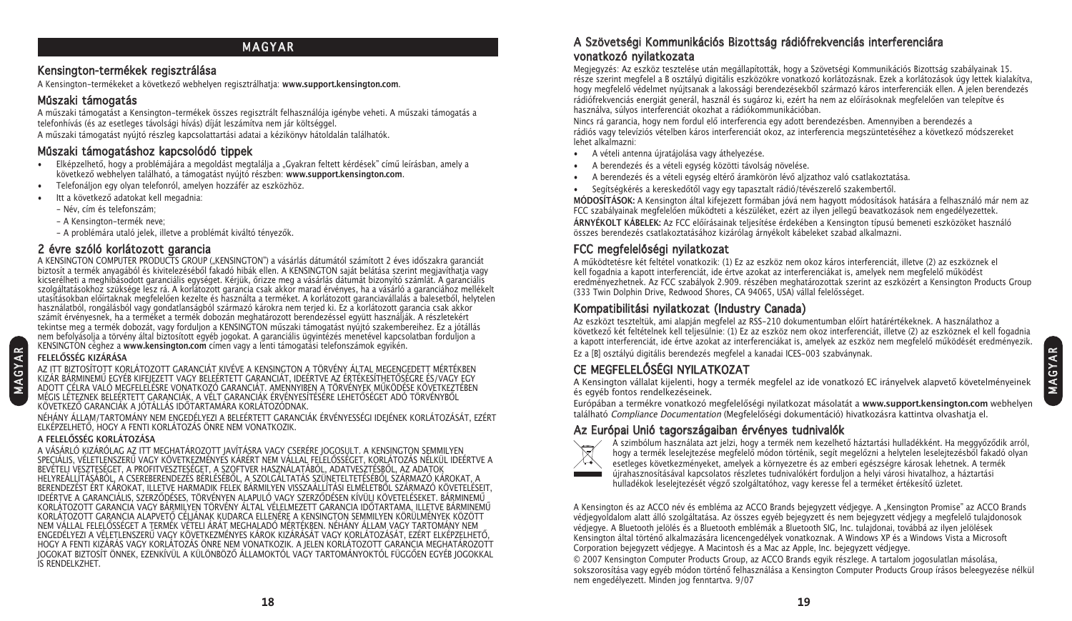# **MAGYAR**

#### Kensington-termékek regisztrálása

A Kensington-termékeket a következő webhelyen regisztrálhatja: **www.support.kensington.com**.

# Műszaki támogatás

A műszaki támogatást a Kensington-termékek összes regisztrált felhasználója igénybe veheti. A műszaki támogatás a telefonhívás (és az esetleges távolsági hívás) díját leszámítva nem jár költséggel. A műszaki támogatást nyújtó részleg kapcsolattartási adatai a kézikönyv hátoldalán találhatók.

### Műszaki támogatáshoz kapcsolódó tippek

- Elképzelhető, hogy a problémájára a megoldást megtalálja a "Gyakran feltett kérdések" című leírásban, amely a következő webhelyen található, a támogatást nyújtó részben: **www.support.kensington.com**.
- Telefonáljon egy olyan telefonról, amelyen hozzáfér az eszközhöz.
- Itt a következő adatokat kell megadnia:
	- Név, cím és telefonszám;
	- A Kensington-termék neve;
	- A problémára utaló jelek, illetve a problémát kiváltó tényezők.

# 2 évre szóló korlátozott garancia

A KENSINGTON COMPUTER PRODUCTS GROUP ("KENSINGTON") a vásárlás dátumától számított 2 éves időszakra garanciát biztosít a termék anyagából és kivitelezéséből fakadó hibák ellen. A KENSINGTON saját belátása szerint megjavíthatja vagy kicserélheti a meghibásodott garanciális egységet. Kérjük, őrizze meg a vásárlás dátumát bizonyító számlát. A garanciális szolgáltatásokhoz szüksége lesz rá. A korlátozott garancia csak akkor marad érvényes, ha a vásárló a garanciához mellékelt utasításokban előírtaknak megfelelően kezelte és használta a terméket. A korlátozott garanciavállalás a balesetből, helytelen használatból, rongálásból vagy gondatlanságból származó károkra nem terjed ki. Ez a korlátozott garancia csak akkor számít érvényesnek, ha a terméket a termék dobozán meghatározott berendezéssel együtt használják. A részletekért tekintse meg a termék dobozát, vagy forduljon a KENSINGTON műszaki támogatást nyújtó szakembereihez. Ez a jótállás nem befolyásolja a törvény által biztosított egyéb jogokat. A garanciális ügyintézés menetével kapcsolatban forduljon a KENSINGTON céghez a **www.kensington.com** címen vagy a lenti támogatási telefonszámok egyikén.

# **FELELŐSSÉG KIZÁRÁSA**

M A GY A R

AZ ITT BIZTOSÍTOTT KORLÁTOZOTT GARANCIÁT KIVÉVE A KENSINGTON A TÖRVÉNY ÁLTAL MEGENGEDETT MÉRTÉKBEN KIZÁR BÁRMINEMŰ EGYÉB KIFEJEZETT VAGY BELEÉRTETT GARANCIÁT, IDEÉRTVE AZ ÉRTÉKESÍTHETŐSÉGRE ÉS/VAGY EGY ADOTT CÉLRA VALÓ MEGFELELÉSRE VONATKOZÓ GARANCIÁT. AMENNYIBEN A TÖRVÉNYEK MŰKÖDÉSE KÖVETKEZTÉBEN MÉGIS LÉTEZNEK BELEÉRTETT GARANCIÁK, A VÉLT GARANCIÁK ÉRVÉNYESÍTÉSÉRE LEHETŐSÉGET ADÓ TÖRVÉNYBŐL KÖVETKEZŐ GARANCIÁK A JÓTÁLLÁS IDŐTARTAMÁRA KORLÁTOZÓDNAK.

NÉHÁNY ÁLLAM/TARTOMÁNY NEM ENGEDÉLYEZI A BELEÉRTETT GARANCIÁK ÉRVÉNYESSÉGI IDEJÉNEK KORLÁTOZÁSÁT, EZÉRT ELKÉPZELHETŐ, HOGY A FENTI KORLÁTOZÁS ÖNRE NEM VONATKOZIK.

#### **A FELELŐSSÉG KORLÁTOZÁSA**

A VÁSÁRLÓ KIZÁRÓLAG AZ ITT MEGHATÁROZOTT JAVÍTÁSRA VAGY CSERÉRE JOGOSULT. A KENSINGTON SEMMILYEN SPECIÁLIS, VÉLETLENSZERŰ VAGY KÖVETKEZMÉNYES KÁRÉRT NEM VÁLLAL FELELŐSSÉGET, KORLÁTOZÁS NÉLKÜL IDEÉRTVE A BEVÉTELI VESZTESÉGET, A PROFITVESZTESÉGET, A SZOFTVER HASZNÁLATÁBÓL, ADATVESZTÉSBŐL, AZ ADATOK HELYREÁLLÍTÁSÁBÓL, A CSEREBERENDEZÉS BÉRLÉSÉBŐL, A SZOLGÁLTATÁS SZÜNETELTETÉSÉBŐL SZÁRMAZÓ KÁROKAT, A BERENDEZÉST ÉRT KÁROKAT, ILLETVE HARMADIK FELEK BÁRMILYEN VISSZAÁLLÍTÁSI ELMÉLETBŐL SZÁRMAZÓ KÖVETELÉSEIT. IDEÉRTVE A GARANCIÁLIS, SZERZŐDÉSES, TÖRVÉNYEN ALAPULÓ VAGY SZERZŐDÉSEN KÍVÜLI KÖVETELÉSEKET. BÁRMINEMŰ KORLÁTOZOTT GARANCIA VAGY BÁRMILYEN TÖRVÉNY ÁLTAL VÉLELMEZETT GARANCIA IDŐTARTAMA, ILLETVE BÁRMINEMŰ KORLÁTOZOTT GARANCIA ALAPVETŐ CÉLJÁNAK KUDARCA ELLENÉRE A KENSINGTON SEMMILYEN KÖRÜLMÉNYEK KÖZÖTT NEM VÁLLAL FELELŐSSÉGET A TERMÉK VÉTELI ÁRÁT MEGHALADÓ MÉRTÉKBEN. NÉHÁNY ÁLLAM VAGY TARTOMÁNY NEM ENGEDÉLYEZI A VÉLETLENSZERŰ VAGY KÖVETKEZMÉNYES KÁROK KIZÁRÁSÁT VAGY KORLÁTOZÁSÁT, EZÉRT ELKÉPZELHETŐ, HOGY A FENTI KIZÁRÁS VAGY KORLÁTOZÁS ÖNRE NEM VONATKOZIK. A JELEN KORLÁTOZOTT GARANCIA MEGHATÁROZOTT JOGOKAT BIZTOSÍT ÖNNEK, EZENKÍVÜL A KÜLÖNBÖZŐ ÁLLAMOKTÓL VAGY TARTOMÁNYOKTÓL FÜGGŐEN EGYÉB JOGOKKAL IS RENDELKZHET.

# A Szövetségi Kommunikációs Bizottság rádiófrekvenciás interferenciára vonatkozó nyilatkozata

Megjegyzés: Az eszköz tesztelése után megállapították, hogy a Szövetségi Kommunikációs Bizottság szabályainak 15. része szerint megfelel a B osztályú digitális eszközökre vonatkozó korlátozásnak. Ezek a korlátozások úgy lettek kialakítva, hogy megfelelő védelmet nyújtsanak a lakossági berendezésekből származó káros interferenciák ellen. A jelen berendezés rádiófrekvenciás energiát generál, használ és sugároz ki, ezért ha nem az előírásoknak megfelelően van telepítve és használva, súlyos interferenciát okozhat a rádiókommunikációban.

Nincs rá garancia, hogy nem fordul elő interferencia egy adott berendezésben. Amennyiben a berendezés a rádiós vagy televíziós vételben káros interferenciát okoz, az interferencia megszüntetéséhez a következő módszereket lehet alkalmazni:

- A vételi antenna újratájolása vagy áthelyezése.
- A berendezés és a vételi egység közötti távolság növelése.
- A berendezés és a vételi egység eltérő áramkörön lévő aljzathoz való csatlakoztatása.
- Segítségkérés a kereskedőtől vagy egy tapasztalt rádió/tévészerelő szakembertől.

**MÓDOSÍTÁSOK:** A Kensington által kifejezett formában jóvá nem hagyott módosítások hatására a felhasználó már nem az FCC szabályainak megfelelően működteti a készüléket, ezért az ilyen jellegű beavatkozások nem engedélyezettek. **ÁRNYÉKOLT KÁBELEK:** Az FCC előírásainak teljesítése érdekében a Kensington típusú bemeneti eszközöket használó összes berendezés csatlakoztatásához kizárólag árnyékolt kábeleket szabad alkalmazni.

# FCC megfelelőségi nyilatkozat

A működtetésre két feltétel vonatkozik: (1) Ez az eszköz nem okoz káros interferenciát, illetve (2) az eszköznek el kell fogadnia a kapott interferenciát, ide értve azokat az interferenciákat is, amelyek nem megfelelő működést eredményezhetnek. Az FCC szabályok 2.909. részében meghatározottak szerint az eszközért a Kensington Products Group (333 Twin Dolphin Drive, Redwood Shores, CA 94065, USA) vállal felelősséget.

# Kompatibilitási nyilatkozat (Industry Canada)

Az eszközt teszteltük, ami alapján megfelel az RSS-210 dokumentumban előírt határértékeknek. A használathoz a következő két feltételnek kell teljesülnie: (1) Ez az eszköz nem okoz interferenciát, illetve (2) az eszköznek el kell fogadnia a kapott interferenciát, ide értve azokat az interferenciákat is, amelyek az eszköz nem megfelelő működését eredményezik. Ez a [B] osztályú digitális berendezés megfelel a kanadai ICES-003 szabványnak.

# CE MEGFELELŐSÉGI NYILATKOZAT

A Kensington vállalat kijelenti, hogy a termék megfelel az ide vonatkozó EC irányelvek alapvető követelményeinek és egyéb fontos rendelkezéseinek.

Európában a termékre vonatkozó megfelelőségi nyilatkozat másolatát a **www.support.kensington.com** webhelyen található Compliance Documentation (Megfelelőségi dokumentáció) hivatkozásra kattintva olvashatja el.

# Az Európai Unió tagországaiban érvényes tudnivalók



A szimbólum használata azt jelzi, hogy a termék nem kezelhető háztartási hulladékként. Ha meggyőződik arról, hogy a termék leselejtezése megfelelő módon történik, segít megelőzni a helytelen leselejtezésből fakadó olyan esetleges következményeket, amelyek a környezetre és az emberi egészségre károsak lehetnek. A termék újrahasznosításával kapcsolatos részletes tudnivalókért forduljon a helyi városi hivatalhoz, a háztartási hulladékok leselejtezését végző szolgáltatóhoz, vagy keresse fel a terméket értékesítő üzletet.

A Kensington és az ACCO név és embléma az ACCO Brands bejegyzett védjegye. A "Kensington Promise" az ACCO Brands védjegyoldalom alatt álló szolgáltatása. Az összes egyéb bejegyzett és nem bejegyzett védjegy a megfelelő tulajdonosok védjegye. A Bluetooth jelölés és a Bluetooth emblémák a Bluetooth SIG, Inc. tulajdonai, továbbá az ilyen jelölések Kensington által történő alkalmazására licencengedélyek vonatkoznak. A Windows XP és a Windows Vista a Microsoft Corporation bejegyzett védjegye. A Macintosh és a Mac az Apple, Inc. bejegyzett védjegye.

© 2007 Kensington Computer Products Group, az ACCO Brands egyik részlege. A tartalom jogosulatlan másolása, sokszorosítása vagy egyéb módon történő felhasználása a Kensington Computer Products Group írásos beleegyezése nélkül nem engedélyezett. Minden jog fenntartva. 9/07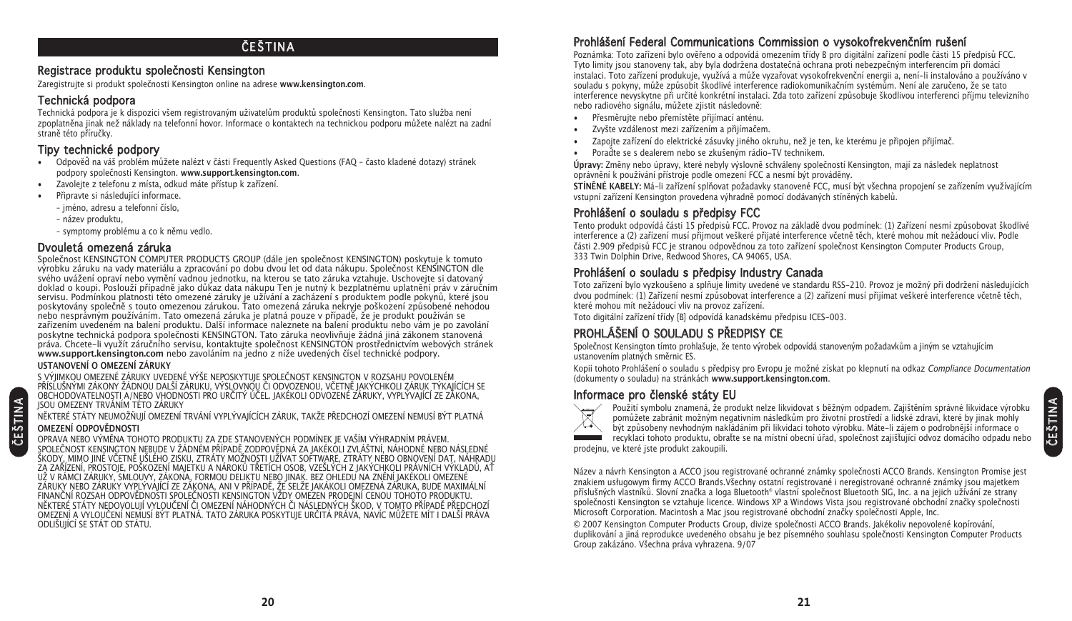# **ČEŠTINA**

### Registrace produktu společnosti Kensington

Zaregistrujte si produkt společnosti Kensington online na adrese **www.kensington.com**.

# Technická podpora

Technická podpora je k dispozici všem registrovaným uživatelům produktů společnosti Kensington. Tato služba není zpoplatněna jinak než náklady na telefonní hovor. Informace o kontaktech na technickou podporu můžete nalézt na zadní straně této příručky.

# Tipy technické podpory

- Odpověď na váš problém můžete nalézt v části Frequently Asked Questions (FAQ často kladené dotazy) stránek podpory společnosti Kensington. **www.support.kensington.com**.
- Zavolejte z telefonu z místa, odkud máte přístup k zařízení.
- Připravte si následující informace.
	- jméno, adresu a telefonní číslo,
	- název produktu,
	- symptomy problému a co k němu vedlo.

# Dvouletá omezená záruka

Společnost KENSINGTON COMPUTER PRODUCTS GROUP (dále jen společnost KENSINGTON) poskytuje k tomuto výrobku záruku na vady materiálu a zpracování po dobu dvou let od data nákupu. Společnost KENSINGTON dle svého uvážení opraví nebo vymění vadnou jednotku, na kterou se tato záruka vztahuje. Uschovejte si datovaný doklad o koupi. Poslouží případně jako důkaz data nákupu Ten je nutný k bezplatnému uplatnění práv v záručním servisu. Podmínkou platnosti této omezené záruky je užívání a zacházení s produktem podle pokynů, které jsou poskytovány společně s touto omezenou zárukou. Tato omezená záruka nekryje poškození způsobené nehodou nebo nesprávným používáním. Tato omezená záruka je platná pouze v případě, že je produkt používán se zařízením uvedeném na balení produktu. Další informace naleznete na balení produktu nebo vám je po zavolání poskytne technická podpora společnosti KENSINGTON. Tato záruka neovlivňuje žádná jiná zákonem stanovená práva. Chcete-li využít záručního servisu, kontaktujte společnost KENSINGTON prostřednictvím webových stránek **www.support.kensington.com** nebo zavoláním na jedno z níže uvedených čísel technické podpory.

#### **USTANOVENÍ O OMEZENÍ ZÁRUKY**

S VÝJIMKOU OMEZENÉ ZÁRUKY UVEDENÉ VÝŠE NEPOSKYTUJE SPOLEČNOST KENSINGTON V ROZSAHU POVOLENÉM PŘÍSLUŠNÝMI ZÁKONY ŽÁDNOU DALŠÍ ZÁRUKU, VÝSLOVNOU ČI ODVOZENOU, VČETNĚ JAKÝCHKOLI ZÁRUK TÝKAJÍCÍCH SE OBCHODOVATELNOSTI A/NEBO VHODNOSTI PRO URČITÝ ÚČEL. JAKÉKOLI ODVOZENÉ ZÁRUKY, VYPLÝVAJÍCÍ ZE ZÁKONA, JSOU OMEZENY TRVÁNÍM TÉTO ZÁRUKY

NĚKTERÉ STÁTY NEUMOŽŇUJÍ OMEZENÍ TRVÁNÍ VYPLÝVAJÍCÍCH ZÁRUK, TAKŽE PŘEDCHOZÍ OMEZENÍ NEMUSÍ BÝT PLATNÁ

#### **OMEZENÍ ODPOVĚDNOSTI**

ČEŠTINA

OPRAVA NEBO VÝMĚNA TOHOTO PRODUKTU ZA ZDE STANOVENÝCH PODMÍNEK JE VAŠÍM VÝHRADNÍM PRÁVEM. SPOLEČNOST KENSINGTON NEBUDE V ŽÁDNÉM PŘÍPADĚ ZODPOVĚDNÁ ZA JAKÉKOLI ZVLÁŠTNÍ, NÁHODNÉ NEBO NÁSLEDNÉ ŠKODY, MIMO JINÉ VČETNĚ UŠLÉHO ZISKU, ZTRÁTY MOŽNOSTI UŽÍVAT SOFTWARE, ZTRÁTY NEBO OBNOVENÍ DAT, NÁHRADU ZA ZAŘÍZENÍ, PROSTOJE, POŠKOZENÍ MAJETKU A NÁROKŮ TŘETÍCH OSOB, VZEŠLÝCH Z JAKÝCHKOLI PRÁVNÍCH VÝKLADŮ, AŤ UŽ V RÁMCI ZÁRUKY, SMLOUVY, ZÁKONA, FORMOU DELIKTU NEBO JINAK. BEZ OHLEDU NA ZNĚNÍ JAKÉKOLI OMEZENÉ ZÁRUKY NEBO ZÁRUKY VYPLÝVAJÍCÍ ZE ZÁKONA, ANI V PŘÍPADĚ, ŽE SELŽE JAKÁKOLI OMEZENÁ ZÁRUKA, BUDE MAXIMÁLNÍ FINANČNÍ ROZSAH ODPOVĚDNOSTI SPOLEČNOSTI KENSINGTON VŽDY OMEZEN PRODEJNÍ CENOU TOHOTO PRODUKTU. NĚKTERÉ STÁTY NEDOVOLUJÍ VYLOUČENÍ ČI OMEZENÍ NÁHODNÝCH ČI NÁSLEDNÝCH ŠKOD, V TOMTO PŘÍPADĚ PŘEDCHOZÍ OMEZENÍ A VYLOUČENÍ NEMUSÍ BÝT PLATNÁ. TATO ZÁRUKA POSKYTUJE URČITÁ PRÁVA, NAVÍC MŮŽETE MÍT I DALŠÍ PRÁVA ODLIŠUJÍCÍ SE STÁT OD STÁTU.

# Prohlášení Federal Communications Commission o vysokofrekvenčním rušení

Poznámka: Toto zařízení bylo ověřeno a odpovídá omezením třídy B pro digitální zařízení podle části 15 předpisů FCC. Tyto limity jsou stanoveny tak, aby byla dodržena dostatečná ochrana proti nebezpečným interferencím při domácí instalaci. Toto zařízení produkuje, využívá a může vyzařovat vysokofrekvenční energii a, není-li instalováno a používáno v souladu s pokyny, může způsobit škodlivé interference radiokomunikačním systémům. Není ale zaručeno, že se tato interference nevyskytne při určité konkrétní instalaci. Zda toto zařízení způsobuje škodlivou interferenci příjmu televizního nebo radiového signálu, můžete zjistit následovně:

- Přesměrujte nebo přemístěte přijímací anténu.
- Zvyšte vzdálenost mezi zařízením a přijímačem.
- Zapojte zařízení do elektrické zásuvky jiného okruhu, než je ten, ke kterému je připojen přijímač.
- Poraďte se s dealerem nebo se zkušeným rádio-TV technikem.

**Úpravy:** Změny nebo úpravy, které nebyly výslovně schváleny společností Kensington, mají za následek neplatnost oprávnění k používání přístroje podle omezení FCC a nesmí být prováděny.

**STÍNĚNÉ KABELY:** Má-li zařízení splňovat požadavky stanovené FCC, musí být všechna propojení se zařízením využívajícím vstupní zařízení Kensington provedena výhradně pomocí dodávaných stíněných kabelů.

# Prohlášení o souladu s předpisy FCC

Tento produkt odpovídá části 15 předpisů FCC. Provoz na základě dvou podmínek: (1) Zařízení nesmí způsobovat škodlivé interference a (2) zařízení musí přijmout veškeré přijaté interference včetně těch, které mohou mít nežádoucí vliv. Podle části 2.909 předpisů FCC je stranou odpovědnou za toto zařízení společnost Kensington Computer Products Group, 333 Twin Dolphin Drive, Redwood Shores, CA 94065, USA.

# Prohlášení o souladu s předpisy Industry Canada

Toto zařízení bylo vyzkoušeno a splňuje limity uvedené ve standardu RSS-210. Provoz je možný při dodržení následujících dvou podmínek: (1) Zařízení nesmí způsobovat interference a (2) zařízení musí přijímat veškeré interference včetně těch, které mohou mít nežádoucí vliv na provoz zařízení.

Toto digitální zařízení třídy [B] odpovídá kanadskému předpisu ICES-003.

# PROHLÁŠENÍ O SOULADU S PŘEDPISY CE

Společnost Kensington tímto prohlašuje, že tento výrobek odpovídá stanoveným požadavkům a jiným se vztahujícím ustanovením platných směrnic ES.

Kopii tohoto Prohlášení o souladu s předpisy pro Evropu je možné získat po klepnutí na odkaz Compliance Documentation (dokumenty o souladu) na stránkách **www.support.kensington.com**.

# Informace pro členské státy EU



Použití symbolu znamená, že produkt nelze likvidovat s běžným odpadem. Zajištěním správné likvidace výrobku pomůžete zabránit možným negativním následkům pro životní prostředí a lidské zdraví, které by jinak mohly být způsobeny nevhodným nakládáním při likvidaci tohoto výrobku. Máte-li zájem o podrobnější informace o recyklaci tohoto produktu, obraťte se na místní obecní úřad, společnost zajišťující odvoz domácího odpadu nebo prodejnu, ve které jste produkt zakoupili.

Název a návrh Kensington a ACCO jsou registrované ochranné známky společnosti ACCO Brands. Kensington Promise jest znakiem usługowym firmy ACCO Brands.Všechny ostatní registrované i neregistrované ochranné známky jsou majetkem příslušných vlastníků. Slovní značka a loga Bluetooth® vlastní společnost Bluetooth SIG, Inc. a na jejich užívání ze strany společnosti Kensington se vztahuje licence. Windows XP a Windows Vista jsou registrované obchodní značky společnosti Microsoft Corporation. Macintosh a Mac jsou registrované obchodní značky společnosti Apple, Inc.

© 2007 Kensington Computer Products Group, divize společnosti ACCO Brands. Jakékoliv nepovolené kopírování, duplikování a jiná reprodukce uvedeného obsahu je bez písemného souhlasu společnosti Kensington Computer Products Group zakázáno. Všechna práva vyhrazena. 9/07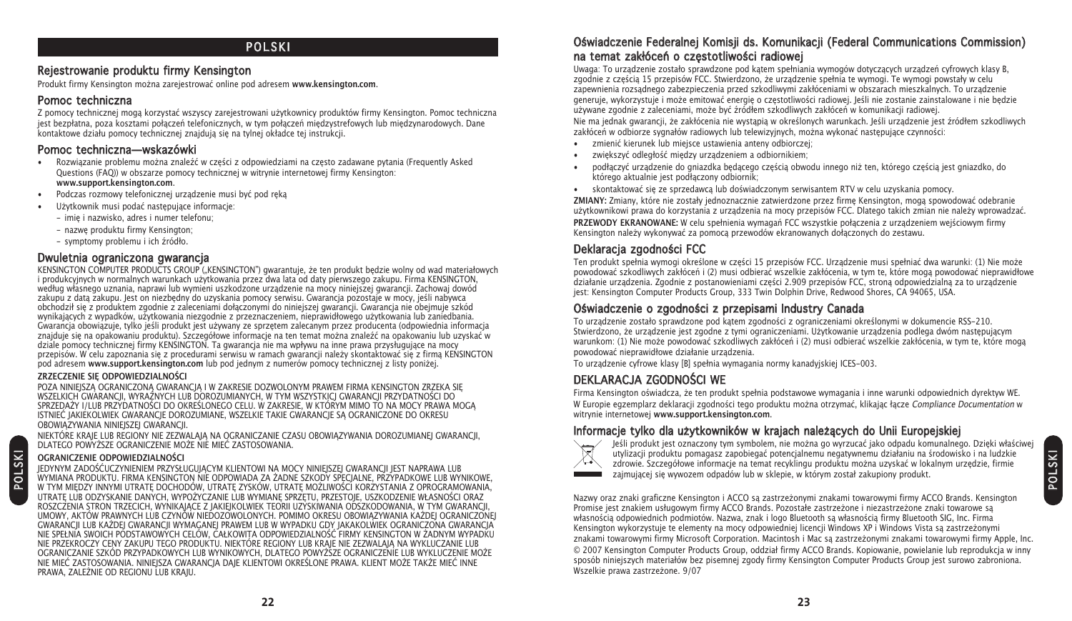# **POLSKI**

#### Rejestrowanie produktu firmy Kensington

Produkt firmy Kensington można zarejestrować online pod adresem www.kensington.com.

#### Pomoc techniczna

Z pomocy technicznej mogą korzystać wszyscy zarejestrowani użytkownicy produktów firmy Kensington. Pomoc techniczna jest bezpłatna, poza kosztami połączeń telefonicznych, w tym połączeń międzystrefowych lub międzynarodowych. Dane kontaktowe działu pomocy technicznej znajdują się na tylnej okładce tej instrukcji.

#### Pomoc techniczna—wskazówki

- Rozwiązanie problemu można znaleźć w cześci z odpowiedziami na czesto zadawane pytania (Frequently Asked Questions (FAQ)) w obszarze pomocy technicznej w witrynie internetowej firmy Kensington: **www.support.kensington.com**.
- Podczas rozmowy telefonicznej urządzenie musi być pod ręką
- Użytkownik musi podać następujące informacje:
	- imię i nazwisko, adres i numer telefonu;
	- nazwę produktu firmy Kensington;
	- symptomy problemu i ich źródło.

#### Dwuletnia ograniczona gwarancja

KENSINGTON COMPUTER PRODUCTS GROUP ("KENSINGTON") gwarantuje, że ten produkt będzie wolny od wad materiałowych i produkcyjnych w normalnych warunkach uytkowania przez dwa lata od daty pierwszego zakupu. Firma KENSINGTON, według własnego uznania, naprawi lub wymieni uszkodzone urządzenie na mocy niniejszej gwarancji. Zachowaj dowód zakupu z datą zakupu. Jest on niezbędny do uzyskania pomocy serwisu. Gwarancja pozostaje w mocy, jeśli nabywca obchodził się z produktem zgodnie z zaleceniami dołączonymi do niniejszej gwarancji. Gwarancja nie obejmuje szkód wynikających z wypadków, użytkowania niezgodnie z przeznaczeniem, nieprawidłowego użytkowania lub zaniedbania. Gwarancja obowiązuje, tylko jeśli produkt jest używany ze sprzętem zalecanym przez producenta (odpowiednia informacja znajduje się na opakowaniu produktu). Szczegółowe informacje na ten temat można znaleźć na opakowaniu lub uzyskać w dziale pomocy technicznej firmy KENSINGTON. Ta gwarancja nie ma wpływu na inne prawa przysługujące na mocy przepisów. W celu zapoznania się z procedurami serwisu w ramach gwarancji naley skontaktować się z firmą KENSINGTON pod adresem **www.support.kensington.com** lub pod jednym z numerów pomocy technicznej z listy poniej.

#### **ZRZECZENIE SIĘ ODPOWIEDZIALNOŚCI**

POZA NINIEJSZĄ OGRANICZONĄ GWARANCJĄ I W ZAKRESIE DOZWOLONYM PRAWEM FIRMA KENSINGTON ZRZEKĄ SIĘ WSZELKICH GWARANCJI, WYRAŹNYCH LUB DOROZUMIANYCH, W TYM WSZYSTKICJ GWARANCJI PRZYDATNOŚCI DO SPRZEDAY I/LUB PRZYDATNOŚCI DO OKREŚLONEGO CELU. W ZAKRESIE, W KTÓRYM MIMO TO NA MOCY PRAWA MOGĄ ISTNIEĆ JAKIEKOLWIEK GWARANCJE DOROZUMIANE, WSZELKIE TAKIE GWARANCJE SĄ OGRANICZONE DO OKRESU OBOWIĄZYWANIA NINIEJSZEJ GWARANCJI.

NIEKTÓRE KRAJE LUB REGIONY NIE ZEZWALAJĄ NA OGRANICZANIE CZASU OBOWIĄZYWANIA DOROZUMIANEJ GWARANCJI, DLATEGO POWYŻSZE OGRANICZENIE MOŻE NIE MIEĆ ZASTOSOWANIA.

#### **OGRANICZENIE ODPOWIEDZIALNOŚCI**

P O L SKI

JEDYNYM ZADOŚĆUCZYNIENIEM PRZYSŁUGUJĄCYM KLIENTOWI NA MOCY NINIEJSZEJ GWARANCJI JEST NAPRAWA LUB WYMIANA PRODUKTU. FIRMA KENSINGTON NIE ODPOWIADA ZA ADNE SZKODY SPECJALNE, PRZYPADKOWE LUB WYNIKOWE, W TYM MIĘDZY INNYMI UTRATĘ DOCHODÓW, UTRATĘ ZYSKÓW, UTRATĘ MOŻLIWOŚCI KORZYSTANIA Z OPROGRAMOWANIA, UTRATĘ LUB ODZYSKANIE DANYCH, WYPOŻYCZANIE LUB WYMIANĘ SPRZETU, PRZESTOJE, USZKODZENIE WŁASNOŚCI ORAZ ROSZCZENIA STRON TRZECICH, WYNIKAJĄCE Z JAKIEJKOLWIEK TEORII UZYSKIWANIA ODSZKODOWANIA, W TYM GWARANCJI, UMOWY, AKTÓW PRAWNYCH LUB CZYNÓW NIEDOZOWOLONYCH. POMIMO OKRESU OBOWIĄZYWANIA KADEJ OGRANICZONEJ GWARANCJI LUB KADEJ GWARANCJI WYMAGANEJ PRAWEM LUB W WYPADKU GDY JAKAKOLWIEK OGRANICZONA GWARANCJA NIE SPEŁNIA SWOICH PODSTAWOWYCH CELÓW, CAŁKOWITA ODPOWIEDZIALNOŚĆ FIRMY KENSINGTON W ŻADNYM WYPADKU NIE PRZEKROCZY CENY ZAKUPU TEGO PRODUKTU. NIEKTÓRE REGIONY LUB KRAJE NIE ZEZWALAJĄ NA WYKLUCZANIE LUB OGRANICZANIE SZKÓD PRZYPADKOWYCH LUB WYNIKOWYCH, DLATEGO POWYSZE OGRANICZENIE LUB WYKLUCZENIE MOE NIE MIEĆ ZASTOSOWANIA. NINIEJSZA GWARANCJA DAJE KLIENTOWI OKREŚLONE PRAWA. KLIENT MOŻE TAKŻE MIEĆ INNE PRAWA, ZALEŻNIE OD REGIONU LUB KRAJU.

### Oświadczenie Federalnej Komisji ds. Komunikacji (Federal Communications Commission) na temat zakłóceń o częstotliwości radiowej

Uwaga: To urządzenie zostało sprawdzone pod kątem spełniania wymogów dotyczących urządzeń cyfrowych klasy B, zgodnie z częścia 15 przepisów FCC. Stwierdzono, że urządzenie spełnia te wymogi. Te wymogi powstały w celu zapewnienia rozsądnego zabezpieczenia przed szkodliwymi zakłóceniami w obszarach mieszkalnych. To urządzenie generuje, wykorzystuje i może emitować energię o częstotliwości radiowej. Jeśli nie zostanie zainstalowane i nie będzie używane zgodnie z zaleceniami, może być źródłem szkodliwych zakłóceń w komunikacji radiowej.

Nie ma jednak gwarancji, że zakłócenia nie wystapia w określonych warunkach. Jeśli urządzenie jest źródłem szkodliwych zakłóceń w odbiorze sygnałów radiowych lub telewizyjnych, można wykonać następujące czynności:

- zmienić kierunek lub miejsce ustawienia anteny odbiorczej;
- zwiekszyć odległość miedzy urządzeniem a odbiornikiem;
- podłączyć urządzenie do gniazdka będącego częścią obwodu innego niż ten, którego częścią jest gniazdko, do którego aktualnie jest podłączony odbiornik;
- skontaktować się ze sprzedawcą lub doświadczonym serwisantem RTV w celu uzyskania pomocy.

**ZMIANY:** Zmiany, które nie zostały jednoznacznie zatwierdzone przez firmę Kensington, mogą spowodować odebranie użytkownikowi prawa do korzystania z urządzenia na mocy przepisów FCC. Dlatego takich zmian nie należy wprowadzać. **PRZEWODY EKRANOWANE:** W celu spełnienia wymagań FCC wszystkie połączenia z urządzeniem wejściowym firmy Kensington należy wykonywać za pomocą przewodów ekranowanych dołączonych do zestawu.

# Deklaracja zgodności FCC

Ten produkt spełnia wymogi określone w części 15 przepisów FCC. Urządzenie musi spełniać dwa warunki: (1) Nie może powodować szkodliwych zakłóceń i (2) musi odbierać wszelkie zakłócenia, w tym te, które mogą powodować nieprawidłowe działanie urządzenia. Zgodnie z postanowieniami części 2.909 przepisów FCC, stroną odpowiedzialną za to urządzenie jest: Kensington Computer Products Group, 333 Twin Dolphin Drive, Redwood Shores, CA 94065, USA.

#### Oświadczenie o zgodności z przepisami Industry Canada

To urządzenie zostało sprawdzone pod kątem zgodności z ograniczeniami określonymi w dokumencie RSS-210. Stwierdzono, że urządzenie jest zgodne z tymi ograniczeniami. Użytkowanie urządzenia podlega dwóm następującym warunkom: (1) Nie może powodować szkodliwych zakłóceń i (2) musi odbierać wszelkie zakłócenia, w tym te, które mogą powodować nieprawidłowe działanie urządzenia.

To urządzenie cyfrowe klasy [B] spełnia wymagania normy kanadyjskiej ICES-003.

# DEKLARACJA ZGODNOŚCI WE

Firma Kensington oświadcza, że ten produkt spełnia podstawowe wymagania i inne warunki odpowiednich dyrektyw WE. W Europie egzemplarz deklaracji zgodności tego produktu można otrzymać, klikając łącze Compliance Documentation w witrynie internetowej **www.support.kensington.com**.

### Informacje tylko dla użytkowników w krajach należących do Unii Europejskiej



Jeśli produkt jest oznaczony tym symbolem, nie można go wyrzucać jako odpadu komunalnego. Dzieki właściwej utylizacji produktu pomagasz zapobiegać potencjalnemu negatywnemu działaniu na środowisko i na ludzkie zdrowie. Szczegółowe informacje na temat recyklingu produktu można uzyskać w lokalnym urzędzie, firmie zajmującej się wywozem odpadów lub w sklepie, w którym został zakupiony produkt.

Nazwy oraz znaki graficzne Kensington i ACCO są zastrzeżonymi znakami towarowymi firmy ACCO Brands. Kensington Promise jest znakiem usługowym firmy ACCO Brands. Pozostałe zastrzeżone i niezastrzeżone znaki towarowe są własnością odpowiednich podmiotów. Nazwa, znak i logo Bluetooth są własnością firmy Bluetooth SIG, Inc. Firma Kensington wykorzystuje te elementy na mocy odpowiedniej licencji Windows XP i Windows Vista są zastrzeżonymi znakami towarowymi firmy Microsoft Corporation. Macintosh i Mac są zastrzeżonymi znakami towarowymi firmy Apple, Inc. © 2007 Kensington Computer Products Group, oddział firmy ACCO Brands. Kopiowanie, powielanie lub reprodukcja w inny sposób niniejszych materiałów bez pisemnej zgody firmy Kensington Computer Products Group jest surowo zabroniona. Wszelkie prawa zastrzeżone. 9/07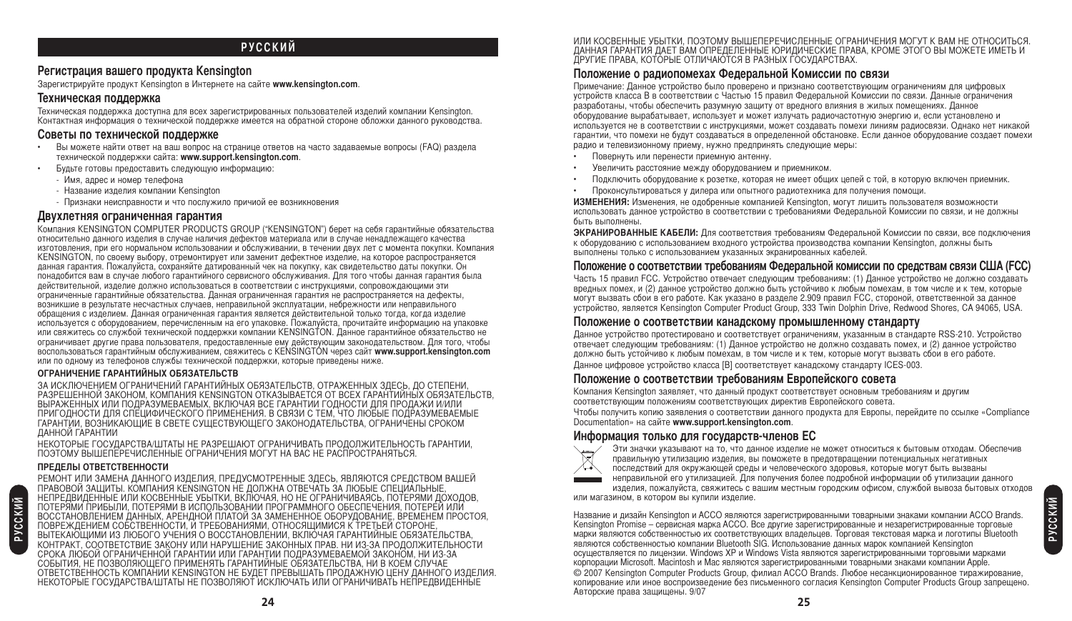### **РУССКИЙ**

#### **егистрация вашего продукта Kensington**

@арегистрируйте продукт Kensington в )нтернете на сайте **www.kensington.com**.

#### **-ехническая поддержка**

4ехническая поддержка доступна для всех зарегистрированных пользователей изделий компании Kensington. онтактная информация о технической поддержке имеется на обратной стороне обложки данного руководства.

#### **оветы по технической поддержке**

- !ы можете найти ответ на ваш вопрос на странице ответов на часто задаваемые вопросы (FAQ) раздела технической поддержки сайта: **www.support.kensington.com**.
- Будьте готовы предоставить следующую информацию:
	- Имя, адрес и номер телефона
	- Название излелия компании Kensington
	- ризнаки неисправности и что послужило причиой ее возникновения

#### **7вухлетняя ограниченная гарантия**

омпания KENSINGTON COMPUTER PRODUCTS GROUP ("KENSINGTON") берет на себя гарантийные обязательства относительно данного изделия в случае наличия дефектов материала или в случае ненадлежащего качества изготовления, при его нормальном использовании и обслуживании, в течении двух лет с момента покупки. Компания KENSINGTON, по своему выбору, отремонтирует или заменит дефектное изделие, на которое распространяется данная гарантия. Пожалуйста, сохраняйте датированный чек на покупку, как свидетельство даты покупки. Он понадобится вам в случае любого гарантийного сервисного обслуживания. Для того чтобы данная гарантия была действительной, изделие должно использоваться в соответствии с инструкциями, сопровождающими эти ограниченные гарантийные обязательства. Данная ограниченная гарантия не распространяется на дефекты, возникшие в результате несчастных случаев, неправильной эксплуатации, небрежности или неправильного обращения с изделием. Данная ограниченная гарантия является действительной только тогда, когда изделие используется с оборудованием, перечисленным на его упаковке. Пожалуйста, прочитайте информацию на упаковке или свяжитесь со службой технической поддержки компании KENSINGTON. Данное гарантийное обязательство не ограничивает другие права пользователя, предоставленные ему действующим законодательством. Для того, чтобы воспользоваться гарантийным обслуживанием, свяжитесь с KENSINGTON через сайт **www.support.kensington.com** или по одному из телефонов службы технической поддержки, которые приведены ниже.

#### ОГРАНИЧЕНИЕ ГАРАНТИЙНЫХ ОБЯЗАТЕЛЬСТВ

ЗА ИСКЛЮЧЕНИЕМ ОГРАНИЧЕНИЙ ГАРАНТИЙНЫХ ОБЯЗАТЕЛЬСТВ, ОТРАЖЕННЫХ ЗДЕСЬ, ДО СТЕПЕНИ, PA3PEШЕННОЙ ЗАКОНОМ, КОМПАНИЯ KENSINGTON OTKA3ЫBAETCЯ ОТ ВСЕХ ГАРАНТИЙНЫХ ОБЯЗАТЕЛЬСТВ, ВЫРАЖЕННЫХ ИЛИ ПОДРАЗУМЕВАЕМЫХ, ВКЛЮЧАЯ ВСЕ ГАРАНТИИ ГОДНОСТИ ДЛЯ ПРОДАЖИ И/ИЛИ ПРИГОДНОСТИ ДЛЯ СПЕЦИФИЧЕСКОГО ПРИМЕНЕНИЯ. В СВЯЗИ С ТЕМ, ЧТО ЛЮБЫЕ ПОДРАЗУМЕВАЕМЫЕ ГАРАНТИИ, ВОЗНИКАЮЩИЕ В СВЕТЕ СУЩЕСТВУЮЩЕГО ЗАКОНОДАТЕЛЬСТВА, ОГРАНИЧЕНЫ СРОКОМ ДАННОЙ ГАРАНТИИ

НЕКОТОРЫЕ ГОСУДАРСТВА/ШТАТЫ НЕ РАЗРЕШАЮТ ОГРАНИЧИВАТЬ ПРОДОЛЖИТЕЛЬНОСТЬ ГАРАНТИИ, ПОЭТОМУ ВЫШЕПЕРЕЧИСЛЕННЫЕ ОГРАНИЧЕНИЯ МОГУТ НА ВАС НЕ РАСПРОСТРАНЯТЬСЯ.

#### ПРЕДЕЛЫ ОТВЕТСТВЕННОСТИ

РЕМОНТ ИЛИ ЗАМЕНА ДАННОГО ИЗДЕЛИЯ, ПРЕДУСМОТРЕННЫЕ ЗДЕСЬ, ЯВЛЯЮТСЯ СРЕДСТВОМ ВАШЕИ ПРАВОВОЙ ЗАЩИТЫ. КОМПАНИЯ KENSINGTON НЕ ДОЛЖНА ОТВЕЧАТЬ ЗА ЛЮБЫЕ СПЕЦИАЛЬНЫЕ, НЕПРЕДВИДЕННЫЕ ИЛИ КОСВЕННЫЕ УБЫТКИ, ВКЛЮЧАЯ, НО НЕ ОГРАНИЧИВАЯСЬ, ПОТЕРЯМИ ДОХОДОВ, ПОТЕРЯМИ ПРИБЫЛИ, ПОТЕРЯМИ В ИСПОЛЬЗОВАНИИ ПРОГРАММНОГО ОБЕСПЕЧЕНИЯ, ПОТЕРЕЙ ИЛИ ВОССТАНОВЛЕНИЕМ ДАННЫХ, АРЕНДНОЙ ПЛАТОЙ ЗА ЗАМЕНЕННОЕ ОБОРУДОВАНИЕ, ВРЕМЕНЕМ ПРОСТОЯ, ПОВРЕЖДЕНИЕМ СОБСТВЕННОСТИ, И ТРЕБОВАНИЯМИ, ОТНОСЯЩИМИСЯ К ТРЕТЬЕЙ СТОРОНЕ, ВЫТЕКАЮЩИМИ ИЗ ЛЮБОГО УЧЕНИЯ О ВОССТАНОВЛЕНИИ, ВКЛЮЧАЯ ГАРАНТИЙНЫЕ ОБЯЗАТЕЛЬСТВА, КОНТРАКТ, СООТВЕТСТВИЕ ЗАКОНУ ИЛИ НАРУШЕНИЕ ЗАКОННЫХ ПРАВ. НИ ИЗ-ЗА ПРОДОЛЖИТЕЛЬНОСТИ СРОКА ЛЮБОЙ ОГРАНИЧЕННОЙ ГАРАНТИИ ИЛИ ГАРАНТИИ ПОДРАЗУМЕВАЕМОЙ ЗАКОНОМ, НИ ИЗ-ЗА СОБЫТИЯ, НЕ ПОЗВОЛЯЮЩЕГО ПРИМЕНЯТЬ ГАРАНТИЙНЫЕ ОБЯЗАТЕЛЬСТВА, НИ В КОЕМ СЛУЧАЕ ОТВЕТСТВЕННОСТЬ КОМПАНИИ KENSINGTON НЕ БУДЕТ ПРЕВЫШАТЬ ПРОДАЖНУЮ ЦЕНУ ДАННОГО ИЗДЕЛИЯ. НЕКОТОРЫЕ ГОСУДАРСТВА/ШТАТЫ НЕ ПОЗВОЛЯЮТ ИСКЛЮЧАТЬ ИЛИ ОГРАНИЧИВАТЬ НЕПРЕДВИДЕННЫЕ

ИЛИ КОСВЕННЫЕ УБЫТКИ, ПОЭТОМУ ВЫШЕПЕРЕЧИСЛЕННЫЕ ОГРАНИЧЕНИЯ МОГУТ К ВАМ НЕ ОТНОСИТЬСЯ. ДАННАЯ ГАРАНТИЯ ДАЕТ ВАМ ОПРЕДЕЛЕННЫЕ ЮРИДИЧЕСКИЕ ПРАВА, КРОМЕ ЭТОГО ВЫ МОЖЕТЕ ИМЕТЬ И ДРУГИЕ ПРАВА, КОТОРЫЕ ОТЛИЧАЮТСЯ В РАЗНЫХ ГОСУДАРСТВАХ.

#### Положение о радиопомехах Федеральной Комиссии по связи

Примечание: Данное устройство было проверено и признано соответствующим ограничениям для цифровых устройств класса B в соответствии с Частью 15 правил Фелеральной Комиссии по связи. Данные ограничения разработаны, чтобы обеспечить разумную зашиту от вредного влияния в жилых помешениях. Данное оборудование вырабатывает, использует и может излучать радиочастотную энергию и, если установлено и используется не в соответствии с инструкциями, может создавать помехи линиям радиосвязи. Однако нет никакой гарантии, что помехи не будут создаваться в определенной обстановке. Если данное оборудование создает помехи радио и телевизионному приему, нужно предпринять следующие меры:

- Повернуть или перенести приемную антенну.
- Увеличить расстояние между оборудованием и приемником.
- одключить оборудование к розетке, которая не имеет общих цепей с той, в которую включен приемник.
- роконсультироваться у дилера или опытного радиотехника для получения помощи.

**ИЗМЕНЕНИЯ:** Изменения, не одобренные компанией Kensington, могут лишить пользователя возможности использовать данное устройство в соответствии с требованиями Федеральной Комиссии по связи, и не должны быть выполнены.

**ЭКРАНИРОВАННЫЕ КАБЕЛИ:** Для соответствия требованиям Федеральной Комиссии по связи, все подключения к оборудованию с использованием входного устройства производства компании Kensington, должны быть выполнены только с использованием указанных экранированных кабелей.

#### Положение о соответствии требованиям Федеральной комиссии по средствам связи США (FCC)

Часть 15 правил FCC. Устройство отвечает следующим требованиям: (1) Данное устройство не должно создавать вредных помех, и (2) данное устройство должно быть устойчиво к любым помехам, в том числе и к тем, которые могут вызвать сбои в его работе. Как указано в разделе 2.909 правил FCC, стороной, ответственной за данное устройство, является Kensington Computer Product Group, 333 Twin Dolphin Drive, Redwood Shores, CA 94065, USA.

#### **оложение о соответствии канадскому промышленному стандарту**

Данное устройство протестировано и соответствует ограничениям, указанным в стандарте RSS-210. Устройство отвечает следующим требованиям: (1) Данное устройство не должно создавать помех, и (2) данное устройство должно быть устойчиво к любым помехам, в том числе и к тем, которые могут вызвать сбои в его работе. Данное цифровое устройство класса [B] соответствует канадскому стандарту ICES-003.

#### Положение о соответствии требованиям Европейского совета

омпания Kensington заявляет, что данный продукт соответствует основным требованиям и другим соответствующим положениям соответствующих директив Европейского совета.

Чтобы получить копию заявления о соответствии данного продукта для Европы, перейдите по ссылке «Compliance Documentation» на сайте **www.support.kensington.com**.

#### Информация только для государств-членов **EC**



Эти значки указывают на то, что данное изделие не может относиться к бытовым отходам. Обеспечив правильную утилизацию изделия, вы поможете в предотвращении потенциальных негативных последствий для окружающей среды и человеческого здоровья, которые могут быть вызваны неправильной его утилизацией. Для получения более подробной информации об утилизации данного изделия, пожалуйста, свяжитесь с вашим местным городским офисом, службой вывоза бытовых отходов

или магазином, в котором вы купили изделие.

-азвание и дизайн Kensington и ACCO являются зарегистрированными товарными знаками компании ACCO Brands. Kensington Promise – сервисная марка ACCO. Все другие зарегистрированные и незарегистрированные торговые марки являются собственностью их соответствующих владельцев. Торговая текстовая марка и логотипы Bluetooth являются собственностью компании Bluetooth SIG. Использование данных марок компанией Kensington осуществляется по лицензии. Windows XP и Windows Vista являются зарегистрированными торговыми марками корпорации Microsoft. Macintosh и Mac являются зарегистрированными товарными знаками компании Apple. © 2007 Kensington Computer Products Group, филиал ACCO Brands. Любое несанкционированное тиражирование, копирование или иное воспроизведение без письменного согласия Kensington Computer Products Group запрещено. Авторские права защищены. 9/07